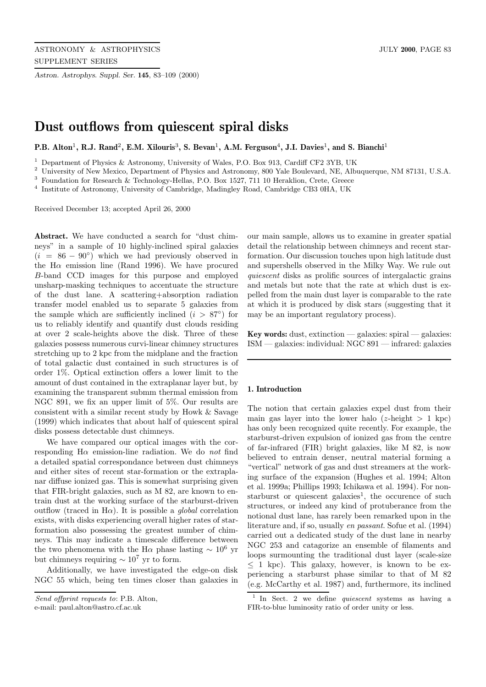*Astron. Astrophys. Suppl. Ser.* **145**, 83–109 (2000)

# **Dust outflows from quiescent spiral disks**

**P.B. Alton**<sup>1</sup>**, R.J. Rand**<sup>2</sup>**, E.M. Xilouris**<sup>3</sup>**, S. Bevan**<sup>1</sup>**, A.M. Ferguson**<sup>4</sup>**, J.I. Davies**<sup>1</sup>**, and S. Bianchi**<sup>1</sup>

<sup>1</sup> Department of Physics & Astronomy, University of Wales, P.O. Box 913, Cardiff CF2 3YB, UK

<sup>2</sup> University of New Mexico, Department of Physics and Astronomy, 800 Yale Boulevard, NE, Albuquerque, NM 87131, U.S.A.

<sup>3</sup> Foundation for Research & Technology-Hellas, P.O. Box 1527, 711 10 Heraklion, Crete, Greece

<sup>4</sup> Institute of Astronomy, University of Cambridge, Madingley Road, Cambridge CB3 0HA, UK

Received December 13; accepted April 26, 2000

**Abstract.** We have conducted a search for "dust chimneys" in a sample of 10 highly-inclined spiral galaxies  $(i = 86 - 90°)$  which we had previously observed in the H $\alpha$  emission line (Rand 1996). We have procured B-band CCD images for this purpose and employed unsharp-masking techniques to accentuate the structure of the dust lane. A scattering+absorption radiation transfer model enabled us to separate 5 galaxies from the sample which are sufficiently inclined  $(i > 87°)$  for us to reliably identify and quantify dust clouds residing at over 2 scale-heights above the disk. Three of these galaxies possess numerous curvi-linear chimney structures stretching up to 2 kpc from the midplane and the fraction of total galactic dust contained in such structures is of order 1%. Optical extinction offers a lower limit to the amount of dust contained in the extraplanar layer but, by examining the transparent submm thermal emission from NGC 891, we fix an upper limit of 5%. Our results are consistent with a similar recent study by Howk & Savage (1999) which indicates that about half of quiescent spiral disks possess detectable dust chimneys.

We have compared our optical images with the corresponding  $H\alpha$  emission-line radiation. We do not find a detailed spatial correspondance between dust chimneys and either sites of recent star-formation or the extraplanar diffuse ionized gas. This is somewhat surprising given that FIR-bright galaxies, such as M 82, are known to entrain dust at the working surface of the starburst-driven outflow (traced in H $\alpha$ ). It is possible a *global* correlation exists, with disks experiencing overall higher rates of starformation also possessing the greatest number of chimneys. This may indicate a timescale difference between the two phenomena with the H $\alpha$  phase lasting  $\sim 10^6$  yr but chimneys requiring  $\sim 10^7$  yr to form.

Additionally, we have investigated the edge-on disk NGC 55 which, being ten times closer than galaxies in

e-mail: paul.alton@astro.cf.ac.uk

our main sample, allows us to examine in greater spatial detail the relationship between chimneys and recent starformation. Our discussion touches upon high latitude dust and supershells observed in the Milky Way. We rule out quiescent disks as prolific sources of intergalactic grains and metals but note that the rate at which dust is expelled from the main dust layer is comparable to the rate at which it is produced by disk stars (suggesting that it may be an important regulatory process).

**Key words:** dust, extinction — galaxies: spiral — galaxies: ISM — galaxies: individual: NGC 891 — infrared: galaxies

#### **1. Introduction**

The notion that certain galaxies expel dust from their main gas layer into the lower halo  $(z$ -height  $> 1$  kpc) has only been recognized quite recently. For example, the starburst-driven expulsion of ionized gas from the centre of far-infrared (FIR) bright galaxies, like M 82, is now believed to entrain denser, neutral material forming a "vertical" network of gas and dust streamers at the working surface of the expansion (Hughes et al. 1994; Alton et al. 1999a; Phillips 1993; Ichikawa et al. 1994). For nonstarburst or quiescent galaxies<sup>1</sup>, the occurence of such structures, or indeed any kind of protuberance from the notional dust lane, has rarely been remarked upon in the literature and, if so, usually en passant. Sofue et al. (1994) carried out a dedicated study of the dust lane in nearby NGC 253 and catagorize an ensemble of filaments and loops surmounting the traditional dust layer (scale-size  $\leq 1$  kpc). This galaxy, however, is known to be experiencing a starburst phase similar to that of M 82 (e.g. McCarthy et al. 1987) and, furthermore, its inclined

Send offprint requests to: P.B. Alton,

<sup>&</sup>lt;sup>1</sup> In Sect. 2 we define *quiescent* systems as having a FIR-to-blue luminosity ratio of order unity or less.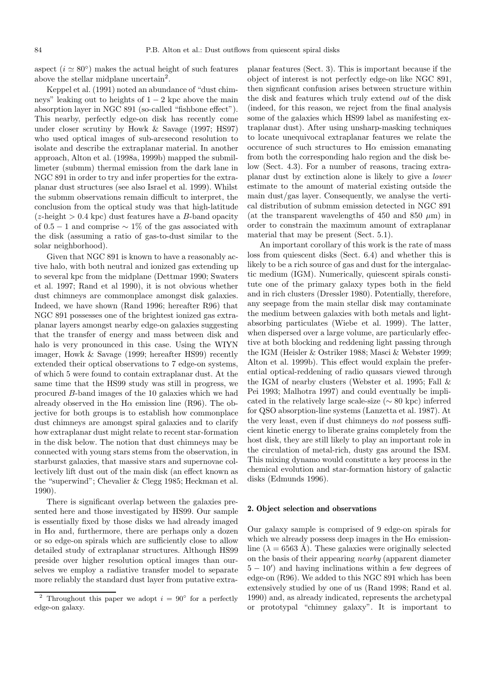aspect ( $i \approx 80°$ ) makes the actual height of such features above the stellar midplane uncertain<sup>2</sup>.

Keppel et al. (1991) noted an abundance of "dust chimneys" leaking out to heights of  $1 - 2$  kpc above the main absorption layer in NGC 891 (so-called "fishbone effect"). This nearby, perfectly edge-on disk has recently come under closer scrutiny by Howk & Savage (1997; HS97) who used optical images of sub-arcsecond resolution to isolate and describe the extraplanar material. In another approach, Alton et al. (1998a, 1999b) mapped the submillimeter (submm) thermal emission from the dark lane in NGC 891 in order to try and infer properties for the extraplanar dust structures (see also Israel et al. 1999). Whilst the submm observations remain difficult to interpret, the conclusion from the optical study was that high-latitude  $(z$ -height  $> 0.4$  kpc) dust features have a B-band opacity of 0.5 − 1 and comprise  $\sim$  1\% of the gas associated with the disk (assuming a ratio of gas-to-dust similar to the solar neighborhood).

Given that NGC 891 is known to have a reasonably active halo, with both neutral and ionized gas extending up to several kpc from the midplane (Dettmar 1990; Swaters et al. 1997; Rand et al 1990), it is not obvious whether dust chimneys are commonplace amongst disk galaxies. Indeed, we have shown (Rand 1996; hereafter R96) that NGC 891 possesses one of the brightest ionized gas extraplanar layers amongst nearby edge-on galaxies suggesting that the transfer of energy and mass between disk and halo is very pronounced in this case. Using the WIYN imager, Howk & Savage (1999; hereafter HS99) recently extended their optical observations to 7 edge-on systems, of which 5 were found to contain extraplanar dust. At the same time that the HS99 study was still in progress, we procured B-band images of the 10 galaxies which we had already observed in the  $H\alpha$  emission line (R96). The objective for both groups is to establish how commonplace dust chimneys are amongst spiral galaxies and to clarify how extraplanar dust might relate to recent star-formation in the disk below. The notion that dust chimneys may be connected with young stars stems from the observation, in starburst galaxies, that massive stars and supernovae collectively lift dust out of the main disk (an effect known as the "superwind"; Chevalier & Clegg 1985; Heckman et al. 1990).

There is significant overlap between the galaxies presented here and those investigated by HS99. Our sample is essentially fixed by those disks we had already imaged in  $H\alpha$  and, furthermore, there are perhaps only a dozen or so edge-on spirals which are sufficiently close to allow detailed study of extraplanar structures. Although HS99 preside over higher resolution optical images than ourselves we employ a radiative transfer model to separate more reliably the standard dust layer from putative extraplanar features (Sect. 3). This is important because if the object of interest is not perfectly edge-on like NGC 891, then signficant confusion arises between structure within the disk and features which truly extend out of the disk (indeed, for this reason, we reject from the final analysis some of the galaxies which HS99 label as manifesting extraplanar dust). After using unsharp-masking techniques to locate unequivocal extraplanar features we relate the occurence of such structures to  $H\alpha$  emission emanating from both the corresponding halo region and the disk below (Sect. 4.3). For a number of reasons, tracing extraplanar dust by extinction alone is likely to give a lower estimate to the amount of material existing outside the main dust/gas layer. Consequently, we analyse the vertical distribution of submm emission detected in NGC 891 (at the transparent wavelengths of 450 and 850  $\mu$ m) in order to constrain the maximum amount of extraplanar material that may be present (Sect. 5.1).

An important corollary of this work is the rate of mass loss from quiescent disks (Sect. 6.4) and whether this is likely to be a rich source of gas and dust for the intergalactic medium (IGM). Numerically, quiescent spirals constitute one of the primary galaxy types both in the field and in rich clusters (Dressler 1980). Potentially, therefore, any seepage from the main stellar disk may contaminate the medium between galaxies with both metals and lightabsorbing particulates (Wiebe et al. 1999). The latter, when dispersed over a large volume, are particularly effective at both blocking and reddening light passing through the IGM (Heisler & Ostriker 1988; Masci & Webster 1999; Alton et al. 1999b). This effect would explain the preferential optical-reddening of radio quasars viewed through the IGM of nearby clusters (Webster et al. 1995; Fall & Pei 1993; Malhotra 1997) and could eventually be implicated in the relatively large scale-size (∼ 80 kpc) inferred for QSO absorption-line systems (Lanzetta et al. 1987). At the very least, even if dust chimneys do not possess sufficient kinetic energy to liberate grains completely from the host disk, they are still likely to play an important role in the circulation of metal-rich, dusty gas around the ISM. This mixing dynamo would constitute a key process in the chemical evolution and star-formation history of galactic disks (Edmunds 1996).

## **2. Object selection and observations**

Our galaxy sample is comprised of 9 edge-on spirals for which we already possess deep images in the  $H\alpha$  emissionline ( $\lambda = 6563$  Å). These galaxies were originally selected on the basis of their appearing nearby (apparent diameter  $5 - 10'$  and having inclinations within a few degrees of edge-on (R96). We added to this NGC 891 which has been extensively studied by one of us (Rand 1998; Rand et al. 1990) and, as already indicated, represents the archetypal or prototypal "chimney galaxy". It is important to

<sup>&</sup>lt;sup>2</sup> Throughout this paper we adopt  $i = 90°$  for a perfectly edge-on galaxy.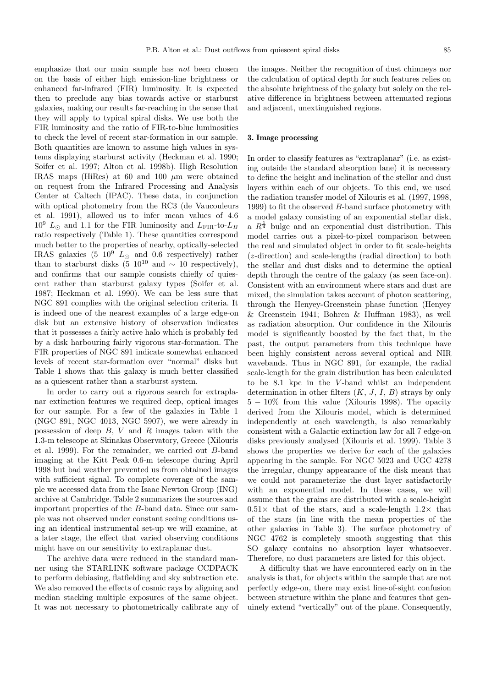emphasize that our main sample has not been chosen on the basis of either high emission-line brightness or enhanced far-infrared (FIR) luminosity. It is expected then to preclude any bias towards active or starburst galaxies, making our results far-reaching in the sense that they will apply to typical spiral disks. We use both the FIR luminosity and the ratio of FIR-to-blue luminosities to check the level of recent star-formation in our sample. Both quantities are known to assume high values in systems displaying starburst activity (Heckman et al. 1990; Soifer et al. 1997; Alton et al. 1998b). High Resolution IRAS maps (HiRes) at 60 and 100  $\mu$ m were obtained on request from the Infrared Processing and Analysis Center at Caltech (IPAC). These data, in conjunction with optical photometry from the RC3 (de Vaucouleurs et al. 1991), allowed us to infer mean values of 4.6  $10^9$   $L_{\odot}$  and 1.1 for the FIR luminosity and  $L_{\rm FIR}$ -to- $L_B$ ratio respectively (Table 1). These quantities correspond much better to the properties of nearby, optically-selected IRAS galaxies (5  $10^9$   $L_{\odot}$  and 0.6 respectively) rather than to starburst disks (5 10<sup>10</sup> and  $\sim$  10 respectively), and confirms that our sample consists chiefly of quiescent rather than starburst galaxy types (Soifer et al. 1987; Heckman et al. 1990). We can be less sure that NGC 891 complies with the original selection criteria. It is indeed one of the nearest examples of a large edge-on disk but an extensive history of observation indicates that it possesses a fairly active halo which is probably fed by a disk harbouring fairly vigorous star-formation. The FIR properties of NGC 891 indicate somewhat enhanced levels of recent star-formation over "normal" disks but Table 1 shows that this galaxy is much better classified as a quiescent rather than a starburst system.

In order to carry out a rigorous search for extraplanar extinction features we required deep, optical images for our sample. For a few of the galaxies in Table 1 (NGC 891, NGC 4013, NGC 5907), we were already in possession of deep  $B, V$  and  $R$  images taken with the 1.3-m telescope at Skinakas Observatory, Greece (Xilouris et al. 1999). For the remainder, we carried out B-band imaging at the Kitt Peak 0.6-m telescope during April 1998 but bad weather prevented us from obtained images with sufficient signal. To complete coverage of the sample we accessed data from the Isaac Newton Group (ING) archive at Cambridge. Table 2 summarizes the sources and important properties of the B-band data. Since our sample was not observed under constant seeing conditions using an identical instrumental set-up we will examine, at a later stage, the effect that varied observing conditions might have on our sensitivity to extraplanar dust.

The archive data were reduced in the standard manner using the STARLINK software package CCDPACK to perform debiasing, flatfielding and sky subtraction etc. We also removed the effects of cosmic rays by aligning and median stacking multiple exposures of the same object. It was not necessary to photometrically calibrate any of the images. Neither the recognition of dust chimneys nor the calculation of optical depth for such features relies on the absolute brightness of the galaxy but solely on the relative difference in brightness between attenuated regions and adjacent, unextinguished regions.

## **3. Image processing**

In order to classify features as "extraplanar" (i.e. as existing outside the standard absorption lane) it is necessary to define the height and inclination of the stellar and dust layers within each of our objects. To this end, we used the radiation transfer model of Xilouris et al. (1997, 1998, 1999) to fit the observed  $B$ -band surface photometry with a model galaxy consisting of an exponential stellar disk, a  $R^{\frac{1}{4}}$  bulge and an exponential dust distribution. This model carries out a pixel-to-pixel comparison between the real and simulated object in order to fit scale-heights (z-direction) and scale-lengths (radial direction) to both the stellar and dust disks and to determine the optical depth through the centre of the galaxy (as seen face-on). Consistent with an environment where stars and dust are mixed, the simulation takes account of photon scattering, through the Henyey-Greenstein phase function (Henyey & Greenstein 1941; Bohren & Huffman 1983), as well as radiation absorption. Our confidence in the Xilouris model is significantly boosted by the fact that, in the past, the output parameters from this technique have been highly consistent across several optical and NIR wavebands. Thus in NGC 891, for example, the radial scale-length for the grain distribution has been calculated to be 8.1 kpc in the V -band whilst an independent determination in other filters  $(K, J, I, B)$  strays by only 5 − 10% from this value (Xilouris 1998). The opacity derived from the Xilouris model, which is determined independently at each wavelength, is also remarkably consistent with a Galactic extinction law for all 7 edge-on disks previously analysed (Xilouris et al. 1999). Table 3 shows the properties we derive for each of the galaxies appearing in the sample. For NGC 5023 and UGC 4278 the irregular, clumpy appearance of the disk meant that we could not parameterize the dust layer satisfactorily with an exponential model. In these cases, we will assume that the grains are distributed with a scale-height  $0.51\times$  that of the stars, and a scale-length  $1.2\times$  that of the stars (in line with the mean properties of the other galaxies in Table 3). The surface photometry of NGC 4762 is completely smooth suggesting that this SO galaxy contains no absorption layer whatsoever. Therefore, no dust parameters are listed for this object.

A difficulty that we have encountered early on in the analysis is that, for objects within the sample that are not perfectly edge-on, there may exist line-of-sight confusion between structure within the plane and features that genuinely extend "vertically" out of the plane. Consequently,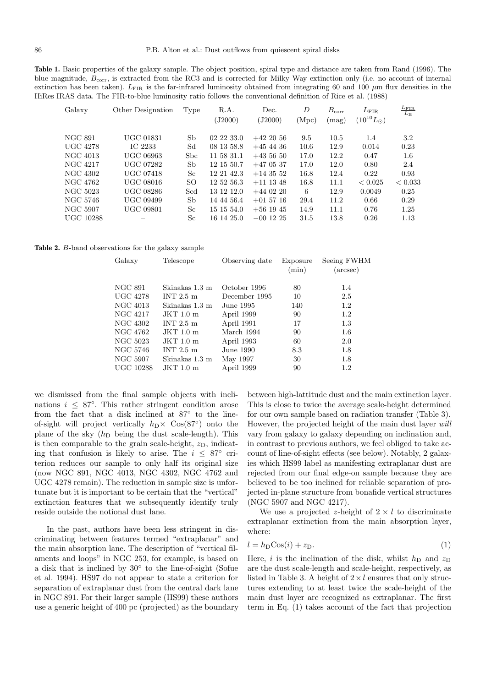**Table 1.** Basic properties of the galaxy sample. The object position, spiral type and distance are taken from Rand (1996). The blue magnitude,  $B_{\text{corr}}$ , is extracted from the RC3 and is corrected for Milky Way extinction only (i.e. no account of internal extinction has been taken).  $L_{\text{FIR}}$  is the far-infrared luminosity obtained from integrating 60 and 100  $\mu$ m flux densities in the HiRes IRAS data. The FIR-to-blue luminosity ratio follows the conventional definition of Rice et al. (1988)

| Galaxy          | Other Designation | Type       | R.A.<br>(J2000) | Dec.<br>(J2000) | D<br>(Mpc) | $B_{\rm corr}$<br>(mag) | $L_{\rm FIR}$<br>$(10^{10} L_{\odot})$ | $\frac{L_{\rm FIR}}{L_{\rm B}}$ |
|-----------------|-------------------|------------|-----------------|-----------------|------------|-------------------------|----------------------------------------|---------------------------------|
| NGC 891         | UGC 01831         | Sb         | 02 22 33.0      | $+422056$       | 9.5        | 10.5                    | 1.4                                    | 3.2                             |
| <b>UGC 4278</b> | IC 2233           | Sd         | 08 13 58.8      | $+45$ 44 36     | 10.6       | 12.9                    | 0.014                                  | 0.23                            |
| NGC 4013        | UGC 06963         | <b>Sbc</b> | 11 58 31.1      | $+43,56,50$     | 17.0       | 12.2                    | 0.47                                   | 1.6                             |
| NGC 4217        | UGC 07282         | Sb         | 12 15 50.7      | $+470537$       | 17.0       | 12.0                    | 0.80                                   | 2.4                             |
| NGC 4302        | UGC 07418         | Sc         | 12 21 42.3      | $+143552$       | 16.8       | 12.4                    | 0.22                                   | 0.93                            |
| NGC 4762        | UGC 08016         | SO         | 12 52 56.3      | $+11$ 13 48     | 16.8       | 11.1                    | < 0.025                                | < 0.033                         |
| NGC 5023        | UGC 08286         | Scd        | 13 12 12.0      | $+440220$       | 6          | 12.9                    | 0.0049                                 | 0.25                            |
| NGC 5746        | UGC 09499         | Sb         | 14 44 56.4      | $+01\;57\;16$   | 29.4       | 11.2                    | 0.66                                   | 0.29                            |
| NGC 5907        | UGC 09801         | Sc         | 15 15 54.0      | $+56$ 19 45     | 14.9       | 11.1                    | 0.76                                   | 1.25                            |
| UGC 10288       |                   | Sc         | 16 14 25.0      | $-00$ 12 25     | 31.5       | 13.8                    | 0.26                                   | 1.13                            |
|                 |                   |            |                 |                 |            |                         |                                        |                                 |

**Table 2.** B-band observations for the galaxy sample

| Galaxy           | Telescope           | Observing date | Exposure<br>(min) | Seeing FWHM<br>$(\text{arcsec})$ |
|------------------|---------------------|----------------|-------------------|----------------------------------|
| NGC 891          | Skinakas 1.3 m      | October 1996   | 80                | 1.4                              |
| <b>UGC 4278</b>  | INT $2.5 \text{ m}$ | December 1995  | 10                | 2.5                              |
| NGC 4013         | Skinakas 1.3 m      | June 1995.     | 140               | 1.2                              |
| NGC 4217         | JKT 1.0 m           | April 1999     | 90                | 1.2                              |
| NGC 4302         | INT $2.5 \text{ m}$ | April 1991     | 17                | 1.3                              |
| NGC 4762         | JKT 1.0 m           | March 1994     | 90                | 1.6                              |
| NGC 5023         | JKT 1.0 m           | April 1993     | 60                | 2.0                              |
| NGC 5746         | INT $2.5 \text{ m}$ | June 1990      | 8.3               | 1.8                              |
| NGC 5907         | Skinakas 1.3 m      | May 1997       | 30                | 1.8                              |
| <b>UGC 10288</b> | JKT 1.0 m           | April 1999     | 90                | $1.2\,$                          |
|                  |                     |                |                   |                                  |

we dismissed from the final sample objects with inclinations  $i \leq 87^\circ$ . This rather stringent condition arose from the fact that a disk inclined at 87° to the lineof-sight will project vertically  $h_D \times \cos(87°)$  onto the plane of the sky  $(h<sub>D</sub>$  being the dust scale-length). This is then comparable to the grain scale-height,  $z_D$ , indicating that confusion is likely to arise. The  $i \leq 87^\circ$  criterion reduces our sample to only half its original size (now NGC 891, NGC 4013, NGC 4302, NGC 4762 and UGC 4278 remain). The reduction in sample size is unfortunate but it is important to be certain that the "vertical" extinction features that we subsequently identify truly reside outside the notional dust lane.

In the past, authors have been less stringent in discriminating between features termed "extraplanar" and the main absorption lane. The description of "vertical filaments and loops" in NGC 253, for example, is based on a disk that is inclined by 30◦ to the line-of-sight (Sofue et al. 1994). HS97 do not appear to state a criterion for separation of extraplanar dust from the central dark lane in NGC 891. For their larger sample (HS99) these authors use a generic height of 400 pc (projected) as the boundary

between high-lattitude dust and the main extinction layer. This is close to twice the average scale-height determined for our own sample based on radiation transfer (Table 3). However, the projected height of the main dust layer will vary from galaxy to galaxy depending on inclination and, in contrast to previous authors, we feel obliged to take account of line-of-sight effects (see below). Notably, 2 galaxies which HS99 label as manifesting extraplanar dust are rejected from our final edge-on sample because they are believed to be too inclined for reliable separation of projected in-plane structure from bonafide vertical structures (NGC 5907 and NGC 4217).

We use a projected z-height of  $2 \times l$  to discriminate extraplanar extinction from the main absorption layer, where:

$$
l = hD \cos(i) + zD.
$$
 (1)

Here, i is the inclination of the disk, whilst  $h_D$  and  $z_D$ are the dust scale-length and scale-height, respectively, as listed in Table 3. A height of  $2 \times l$  ensures that only structures extending to at least twice the scale-height of the main dust layer are recognized as extraplanar. The first term in Eq. (1) takes account of the fact that projection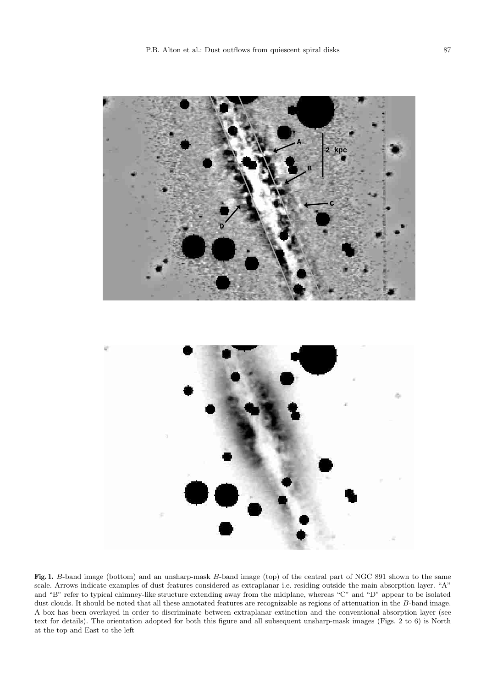

**Fig. 1.** B-band image (bottom) and an unsharp-mask B-band image (top) of the central part of NGC 891 shown to the same scale. Arrows indicate examples of dust features considered as extraplanar i.e. residing outside the main absorption layer. "A" and "B" refer to typical chimney-like structure extending away from the midplane, whereas "C" and "D" appear to be isolated dust clouds. It should be noted that all these annotated features are recognizable as regions of attenuation in the B-band image. A box has been overlayed in order to discriminate between extraplanar extinction and the conventional absorption layer (see text for details). The orientation adopted for both this figure and all subsequent unsharp-mask images (Figs. 2 to 6) is North at the top and East to the left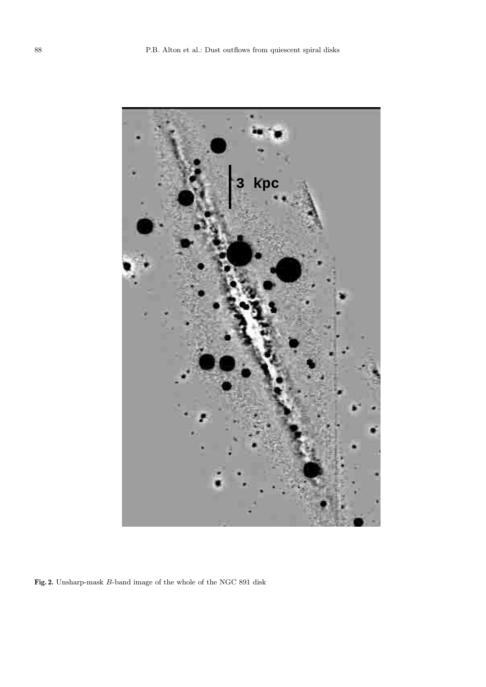

**Fig. 2.** Unsharp-mask B-band image of the whole of the NGC 891 disk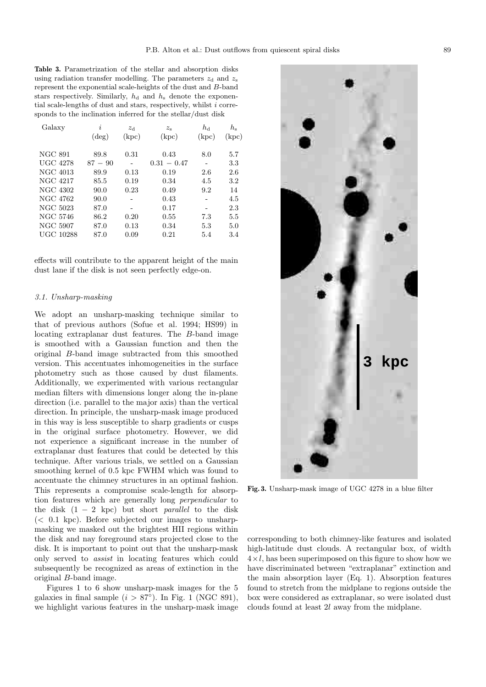**Table 3.** Parametrization of the stellar and absorption disks using radiation transfer modelling. The parameters  $z_d$  and  $z_s$ represent the exponential scale-heights of the dust and B-band stars respectively. Similarly,  $h_d$  and  $h_s$  denote the exponential scale-lengths of dust and stars, respectively, whilst  $i$  corresponds to the inclination inferred for the stellar/dust disk

| Galaxy           | i         | $z_d$ | $z_{\rm s}$   | $h_{\rm d}$ | $h_{\rm s}$ |
|------------------|-----------|-------|---------------|-------------|-------------|
|                  | $(\deg)$  | (kpc) | (kpc)         | (kpc)       | (kpc)       |
| NGC 891          | 89.8      | 0.31  | 0.43          | 8.0         | 5.7         |
| UGC 4278         | $87 - 90$ |       | $0.31 - 0.47$ |             | 3.3         |
| NGC 4013         | 89.9      | 0.13  | 0.19          | 2.6         | 2.6         |
| <b>NGC 4217</b>  | 85.5      | 0.19  | 0.34          | 4.5         | 3.2         |
| NGC 4302         | 90.0      | 0.23  | 0.49          | 9.2         | 14          |
| NGC 4762         | 90.0      |       | 0.43          |             | 4.5         |
| NGC 5023         | 87.0      | -     | 0.17          |             | 2.3         |
| NGC 5746         | 86.2      | 0.20  | 0.55          | 7.3         | 5.5         |
| NGC 5907         | 87.0      | 0.13  | 0.34          | 5.3         | 5.0         |
| <b>UGC 10288</b> | 87.0      | 0.09  | 0.21          | 5.4         | 3.4         |
|                  |           |       |               |             |             |

effects will contribute to the apparent height of the main dust lane if the disk is not seen perfectly edge-on.

#### 3.1. Unsharp-masking

We adopt an unsharp-masking technique similar to that of previous authors (Sofue et al. 1994; HS99) in locating extraplanar dust features. The B-band image is smoothed with a Gaussian function and then the original B-band image subtracted from this smoothed version. This accentuates inhomogeneities in the surface photometry such as those caused by dust filaments. Additionally, we experimented with various rectangular median filters with dimensions longer along the in-plane direction (i.e. parallel to the major axis) than the vertical direction. In principle, the unsharp-mask image produced in this way is less susceptible to sharp gradients or cusps in the original surface photometry. However, we did not experience a significant increase in the number of extraplanar dust features that could be detected by this technique. After various trials, we settled on a Gaussian smoothing kernel of 0.5 kpc FWHM which was found to accentuate the chimney structures in an optimal fashion. This represents a compromise scale-length for absorption features which are generally long perpendicular to the disk  $(1 - 2 \text{ kpc})$  but short *parallel* to the disk  $\langle$   $\langle$  0.1 kpc). Before subjected our images to unsharpmasking we masked out the brightest HII regions within the disk and nay foreground stars projected close to the disk. It is important to point out that the unsharp-mask only served to assist in locating features which could subsequently be recognized as areas of extinction in the original B-band image.

Figures 1 to 6 show unsharp-mask images for the 5 galaxies in final sample  $(i > 87°)$ . In Fig. 1 (NGC 891), we highlight various features in the unsharp-mask image

**Fig. 3.** Unsharp-mask image of UGC 4278 in a blue filter

corresponding to both chimney-like features and isolated high-latitude dust clouds. A rectangular box, of width  $4 \times l$ , has been superimposed on this figure to show how we have discriminated between "extraplanar" extinction and the main absorption layer (Eq. 1). Absorption features found to stretch from the midplane to regions outside the box were considered as extraplanar, so were isolated dust clouds found at least 2l away from the midplane.

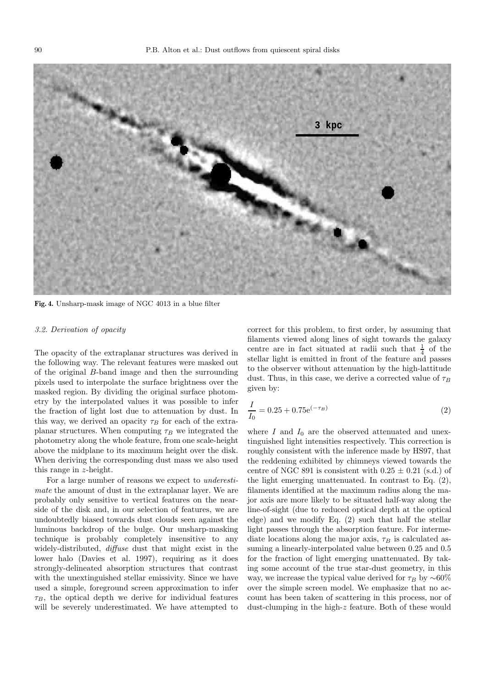

**Fig. 4.** Unsharp-mask image of NGC 4013 in a blue filter

## 3.2. Derivation of opacity

The opacity of the extraplanar structures was derived in the following way. The relevant features were masked out of the original B-band image and then the surrounding pixels used to interpolate the surface brightness over the masked region. By dividing the original surface photometry by the interpolated values it was possible to infer the fraction of light lost due to attenuation by dust. In this way, we derived an opacity  $\tau_B$  for each of the extraplanar structures. When computing  $\tau_B$  we integrated the photometry along the whole feature, from one scale-height above the midplane to its maximum height over the disk. When deriving the corresponding dust mass we also used this range in z-height.

For a large number of reasons we expect to underestimate the amount of dust in the extraplanar layer. We are probably only sensitive to vertical features on the nearside of the disk and, in our selection of features, we are undoubtedly biased towards dust clouds seen against the luminous backdrop of the bulge. Our unsharp-masking technique is probably completely insensitive to any widely-distributed, diffuse dust that might exist in the lower halo (Davies et al. 1997), requiring as it does strongly-delineated absorption structures that contrast with the unextinguished stellar emissivity. Since we have used a simple, foreground screen approximation to infer  $\tau_B$ , the optical depth we derive for individual features will be severely underestimated. We have attempted to

correct for this problem, to first order, by assuming that filaments viewed along lines of sight towards the galaxy centre are in fact situated at radii such that  $\frac{1}{4}$  of the stellar light is emitted in front of the feature and passes to the observer without attenuation by the high-lattitude dust. Thus, in this case, we derive a corrected value of  $\tau_B$ given by:

$$
\frac{I}{I_0} = 0.25 + 0.75e^{(-\tau_B)}
$$
\n(2)

where  $I$  and  $I_0$  are the observed attenuated and unextinguished light intensities respectively. This correction is roughly consistent with the inference made by HS97, that the reddening exhibited by chimneys viewed towards the centre of NGC 891 is consistent with  $0.25 \pm 0.21$  (s.d.) of the light emerging unattenuated. In contrast to Eq. (2), filaments identified at the maximum radius along the major axis are more likely to be situated half-way along the line-of-sight (due to reduced optical depth at the optical edge) and we modify Eq. (2) such that half the stellar light passes through the absorption feature. For intermediate locations along the major axis,  $\tau_B$  is calculated assuming a linearly-interpolated value between 0.25 and 0.5 for the fraction of light emerging unattenuated. By taking some account of the true star-dust geometry, in this way, we increase the typical value derived for  $\tau_B$  by ~60% over the simple screen model. We emphasize that no account has been taken of scattering in this process, nor of dust-clumping in the high-z feature. Both of these would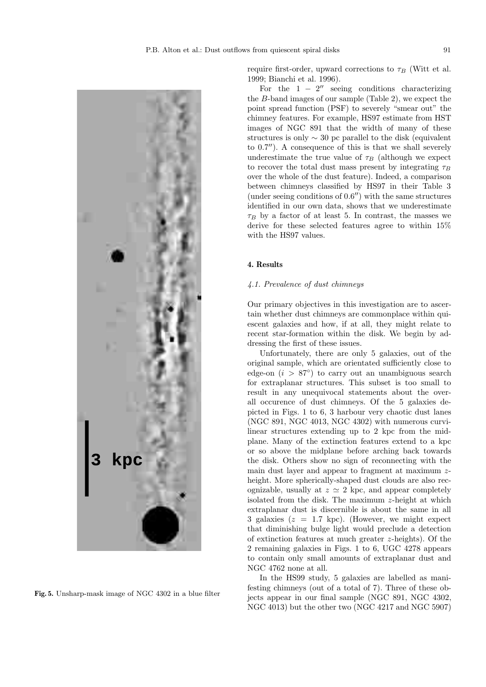

**Fig. 5.** Unsharp-mask image of NGC 4302 in a blue filter

require first-order, upward corrections to  $\tau_B$  (Witt et al. 1999; Bianchi et al. 1996).

For the  $1 - 2^{\prime\prime}$  seeing conditions characterizing the B-band images of our sample (Table 2), we expect the point spread function (PSF) to severely "smear out" the chimney features. For example, HS97 estimate from HST images of NGC 891 that the width of many of these structures is only  $\sim$  30 pc parallel to the disk (equivalent to  $0.7$ "). A consequence of this is that we shall severely underestimate the true value of  $\tau_B$  (although we expect to recover the total dust mass present by integrating  $\tau_B$ over the whole of the dust feature). Indeed, a comparison between chimneys classified by HS97 in their Table 3 (under seeing conditions of  $0.6$ ) with the same structures identified in our own data, shows that we underestimate  $\tau_B$  by a factor of at least 5. In contrast, the masses we derive for these selected features agree to within 15% with the HS97 values.

# **4. Results**

#### 4.1. Prevalence of dust chimneys

Our primary objectives in this investigation are to ascertain whether dust chimneys are commonplace within quiescent galaxies and how, if at all, they might relate to recent star-formation within the disk. We begin by addressing the first of these issues.

Unfortunately, there are only 5 galaxies, out of the original sample, which are orientated sufficiently close to edge-on  $(i > 87°)$  to carry out an unambiguous search for extraplanar structures. This subset is too small to result in any unequivocal statements about the overall occurence of dust chimneys. Of the 5 galaxies depicted in Figs. 1 to 6, 3 harbour very chaotic dust lanes (NGC 891, NGC 4013, NGC 4302) with numerous curvilinear structures extending up to 2 kpc from the midplane. Many of the extinction features extend to a kpc or so above the midplane before arching back towards the disk. Others show no sign of reconnecting with the main dust layer and appear to fragment at maximum zheight. More spherically-shaped dust clouds are also recognizable, usually at  $z \approx 2$  kpc, and appear completely isolated from the disk. The maximum z-height at which extraplanar dust is discernible is about the same in all 3 galaxies  $(z = 1.7 \text{ kpc})$ . (However, we might expect that diminishing bulge light would preclude a detection of extinction features at much greater z-heights). Of the 2 remaining galaxies in Figs. 1 to 6, UGC 4278 appears to contain only small amounts of extraplanar dust and NGC 4762 none at all.

In the HS99 study, 5 galaxies are labelled as manifesting chimneys (out of a total of 7). Three of these objects appear in our final sample (NGC 891, NGC 4302, NGC 4013) but the other two (NGC 4217 and NGC 5907)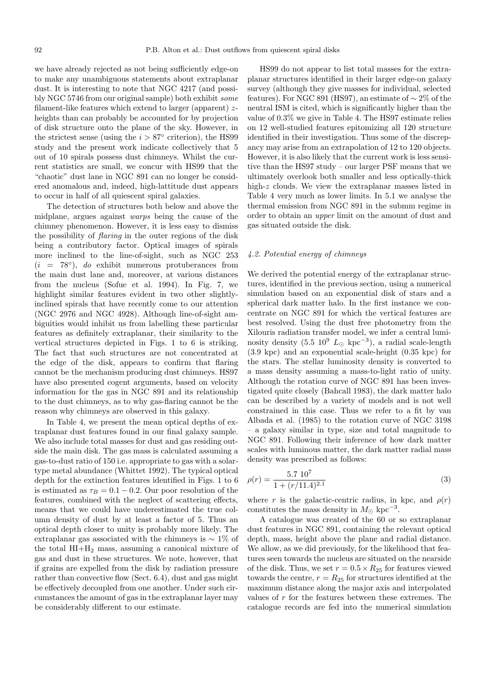we have already rejected as not being sufficiently edge-on to make any unambiguous statements about extraplanar dust. It is interesting to note that NGC 4217 (and possibly NGC 5746 from our original sample) both exhibit some filament-like features which extend to larger (apparent) zheights than can probably be accounted for by projection of disk structure onto the plane of the sky. However, in the strictest sense (using the  $i > 87^\circ$  criterion), the HS99 study and the present work indicate collectively that 5 out of 10 spirals possess dust chimneys. Whilst the current statistics are small, we concur with HS99 that the "chaotic" dust lane in NGC 891 can no longer be considered anomalous and, indeed, high-lattitude dust appears to occur in half of all quiescent spiral galaxies.

The detection of structures both below and above the midplane, argues against warps being the cause of the chimney phenomenon. However, it is less easy to dismiss the possibility of flaring in the outer regions of the disk being a contributory factor. Optical images of spirals more inclined to the line-of-sight, such as NGC 253  $(i = 78°)$ , do exhibit numerous protuberances from the main dust lane and, moreover, at various distances from the nucleus (Sofue et al. 1994). In Fig. 7, we highlight similar features evident in two other slightlyinclined spirals that have recently come to our attention (NGC 2976 and NGC 4928). Although line-of-sight ambiguities would inhibit us from labelling these particular features as definitely extraplanar, their similarity to the vertical structures depicted in Figs. 1 to 6 is striking. The fact that such structures are not concentrated at the edge of the disk, appears to confirm that flaring cannot be the mechanism producing dust chimneys. HS97 have also presented cogent arguments, based on velocity information for the gas in NGC 891 and its relationship to the dust chimneys, as to why gas-flaring cannot be the reason why chimneys are observed in this galaxy.

In Table 4, we present the mean optical depths of extraplanar dust features found in our final galaxy sample. We also include total masses for dust and gas residing outside the main disk. The gas mass is calculated assuming a gas-to-dust ratio of 150 i.e. appropriate to gas with a solartype metal abundance (Whittet 1992). The typical optical depth for the extinction features identified in Figs. 1 to 6 is estimated as  $\tau_B = 0.1 - 0.2$ . Our poor resolution of the features, combined with the neglect of scattering effects, means that we could have underestimated the true column density of dust by at least a factor of 5. Thus an optical depth closer to unity is probably more likely. The extraplanar gas associated with the chimneys is  $\sim 1\%$  of the total  $HI+H<sub>2</sub>$  mass, assuming a canonical mixture of gas and dust in these structures. We note, however, that if grains are expelled from the disk by radiation pressure rather than convective flow (Sect. 6.4), dust and gas might be effectively decoupled from one another. Under such circumstances the amount of gas in the extraplanar layer may be considerably different to our estimate.

HS99 do not appear to list total masses for the extraplanar structures identified in their larger edge-on galaxy survey (although they give masses for individual, selected features). For NGC 891 (HS97), an estimate of  $\sim$  2% of the neutral ISM is cited, which is significantly higher than the value of 0.3% we give in Table 4. The HS97 estimate relies on 12 well-studied features epitomizing all 120 structure identified in their investigation. Thus some of the discrepancy may arise from an extrapolation of 12 to 120 objects. However, it is also likely that the current work is less sensitive than the HS97 study – our larger PSF means that we ultimately overlook both smaller and less optically-thick high-z clouds. We view the extraplanar masses listed in Table 4 very much as lower limits. In 5.1 we analyse the thermal emission from NGC 891 in the submm regime in order to obtain an upper limit on the amount of dust and gas situated outside the disk.

#### 4.2. Potential energy of chimneys

We derived the potential energy of the extraplanar structures, identified in the previous section, using a numerical simulation based on an exponential disk of stars and a spherical dark matter halo. In the first instance we concentrate on NGC 891 for which the vertical features are best resolved. Using the dust free photometry from the Xilouris radiation transfer model, we infer a central luminosity density (5.5  $10^9$  L<sub>☉</sub> kpc<sup>-3</sup>), a radial scale-length (3.9 kpc) and an exponential scale-height (0.35 kpc) for the stars. The stellar luminosity density is converted to a mass density assuming a mass-to-light ratio of unity. Although the rotation curve of NGC 891 has been investigated quite closely (Bahcall 1983), the dark matter halo can be described by a variety of models and is not well constrained in this case. Thus we refer to a fit by van Albada et al. (1985) to the rotation curve of NGC 3198 – a galaxy similar in type, size and total magnitude to NGC 891. Following their inference of how dark matter scales with luminous matter, the dark matter radial mass density was prescribed as follows:

$$
\rho(r) = \frac{5.7 \, 10^7}{1 + (r/11.4)^{2.1}}\tag{3}
$$

where r is the galactic-centric radius, in kpc, and  $\rho(r)$ constitutes the mass density in  $M_{\odot}$  kpc<sup>-3</sup>.

A catalogue was created of the 60 or so extraplanar dust features in NGC 891, containing the relevant optical depth, mass, height above the plane and radial distance. We allow, as we did previously, for the likelihood that features seen towards the nucleus are situated on the nearside of the disk. Thus, we set  $r = 0.5 \times R_{25}$  for features viewed towards the centre,  $r = R_{25}$  for structures identified at the maximum distance along the major axis and interpolated values of r for the features between these extremes. The catalogue records are fed into the numerical simulation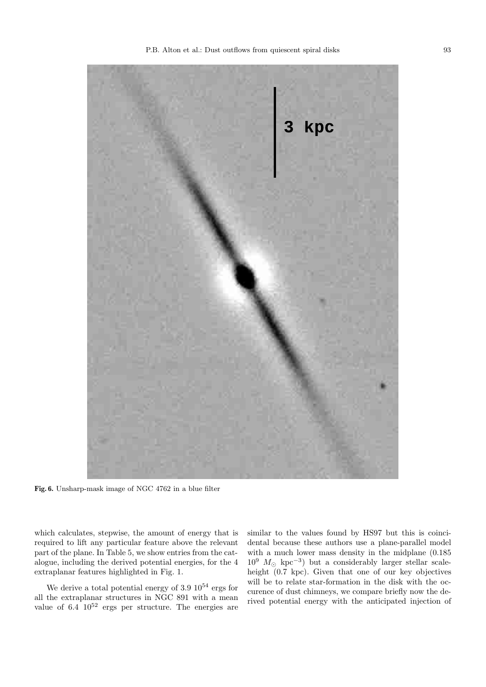

**Fig. 6.** Unsharp-mask image of NGC 4762 in a blue filter

which calculates, stepwise, the amount of energy that is required to lift any particular feature above the relevant part of the plane. In Table 5, we show entries from the catalogue, including the derived potential energies, for the 4 extraplanar features highlighted in Fig. 1.

We derive a total potential energy of  $3.9 \; 10^{54}$  ergs for all the extraplanar structures in NGC 891 with a mean value of  $6.4 \times 10^{52}$  ergs per structure. The energies are

similar to the values found by HS97 but this is coincidental because these authors use a plane-parallel model with a much lower mass density in the midplane (0.185  $10^9$   $M_{\odot}$  kpc<sup>-3</sup>) but a considerably larger stellar scaleheight (0.7 kpc). Given that one of our key objectives will be to relate star-formation in the disk with the occurence of dust chimneys, we compare briefly now the derived potential energy with the anticipated injection of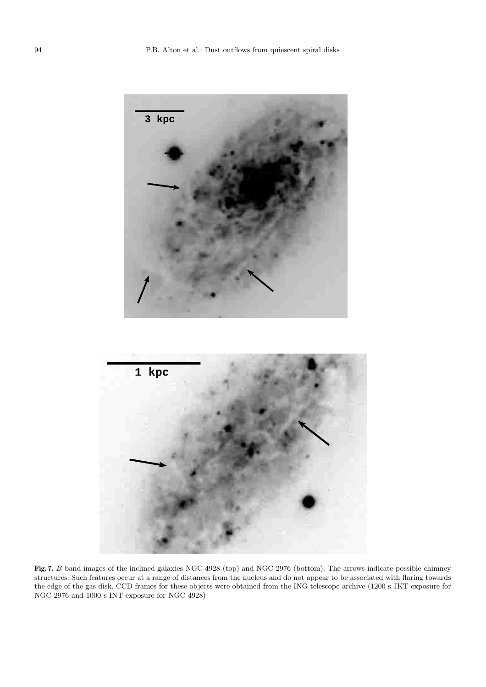

**Fig. 7.** B-band images of the inclined galaxies NGC 4928 (top) and NGC 2976 (bottom). The arrows indicate possible chimney structures. Such features occur at a range of distances from the nucleus and do not appear to be associated with flaring towards the edge of the gas disk. CCD frames for these objects were obtained from the ING telescope archive (1200 s JKT exposure for NGC 2976 and 1000 s INT exposure for NGC 4928)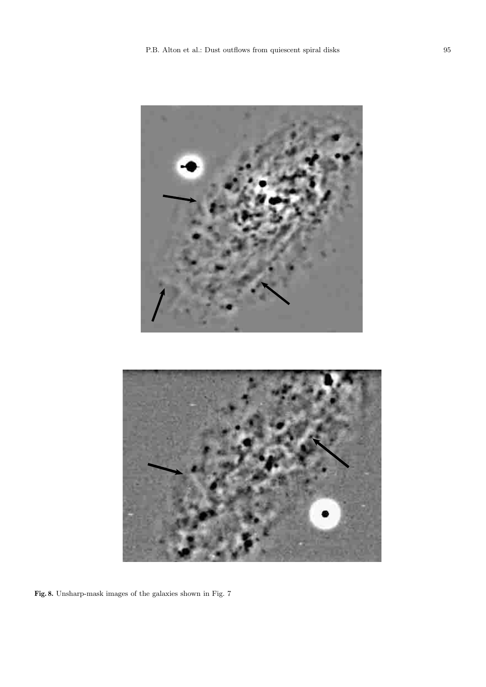

**Fig. 8.** Unsharp-mask images of the galaxies shown in Fig. 7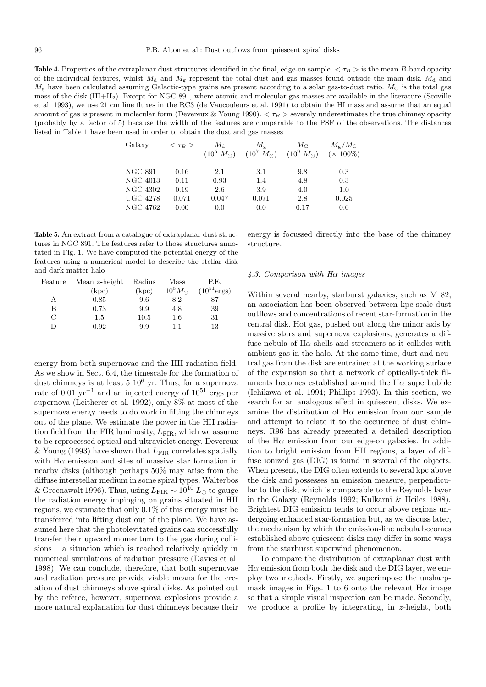**Table 4.** Properties of the extraplanar dust structures identified in the final, edge-on sample.  $\langle \tau_B \rangle$  is the mean B-band opacity of the individual features, whilst  $M_d$  and  $M_g$  represent the total dust and gas masses found outside the main disk.  $M_d$  and  $M<sub>g</sub>$  have been calculated assuming Galactic-type grains are present according to a solar gas-to-dust ratio.  $M<sub>G</sub>$  is the total gas mass of the disk (HI+H2). Except for NGC 891, where atomic and molecular gas masses are available in the literature (Scoville et al. 1993), we use 21 cm line fluxes in the RC3 (de Vaucouleurs et al. 1991) to obtain the HI mass and assume that an equal amount of gas is present in molecular form (Devereux & Young 1990).  $\langle \tau_B \rangle$  severely underestimates the true chimney opacity (probably by a factor of 5) because the width of the features are comparable to the PSF of the observations. The distances listed in Table 1 have been used in order to obtain the dust and gas masses

| Galaxy          | $<\tau_B>$ | $M_{\rm d}$        | $M_{\sigma}$          | $M_{\rm G}$           | $M_{\rm F}/M_{\rm G}$ |
|-----------------|------------|--------------------|-----------------------|-----------------------|-----------------------|
|                 |            | $(10^5 M_{\odot})$ | $(10^7 \; M_{\odot})$ | $(10^9 \; M_{\odot})$ | $(x 100\%)$           |
|                 |            |                    |                       |                       |                       |
| <b>NGC 891</b>  | 0.16       | 2.1                | 3.1                   | 9.8                   | 0.3                   |
| NGC 4013        | 0.11       | 0.93               | 1.4                   | 4.8                   | 0.3                   |
| NGC 4302        | 0.19       | 2.6                | 3.9                   | 4.0                   | 1.0                   |
| <b>UGC 4278</b> | 0.071      | 0.047              | 0.071                 | 2.8                   | 0.025                 |
| NGC 4762        | 0.00       | 0.0                | 0.0                   | 0.17                  | 0.0                   |

**Table 5.** An extract from a catalogue of extraplanar dust structures in NGC 891. The features refer to those structures annotated in Fig. 1. We have computed the potential energy of the features using a numerical model to describe the stellar disk and dark matter halo

| Feature       | Mean $z$ -height | Radius | Mass             | P.E.                    |
|---------------|------------------|--------|------------------|-------------------------|
|               | (kpc)            | (kpc)  | $10^5 M_{\odot}$ | $(10^{51} \text{ergs})$ |
| А             | 0.85             | 9.6    | 8.2              | 87                      |
| В             | 0.73             | 9.9    | 4.8              | 39                      |
| $\mathcal{C}$ | 1.5              | 10.5   | 1.6              | 31                      |
| D             | 0.92             | 9.9    | 11               | 13                      |

energy from both supernovae and the HII radiation field. As we show in Sect. 6.4, the timescale for the formation of dust chimneys is at least  $5 \times 10^6$  yr. Thus, for a supernova rate of 0.01 yr<sup>-1</sup> and an injected energy of  $10^{51}$  ergs per supernova (Leitherer et al. 1992), only 8% at most of the supernova energy needs to do work in lifting the chimneys out of the plane. We estimate the power in the HII radiation field from the FIR luminosity,  $L_{\text{FIR}}$ , which we assume to be reprocessed optical and ultraviolet energy. Devereux & Young (1993) have shown that  $L_{\text{FIR}}$  correlates spatially with  $H\alpha$  emission and sites of massive star formation in nearby disks (although perhaps 50% may arise from the diffuse interstellar medium in some spiral types; Walterbos & Greenawalt 1996). Thus, using  $L_{\text{FIR}} \sim 10^{10} L_{\odot}$  to gauge the radiation energy impinging on grains situated in HII regions, we estimate that only 0.1% of this energy must be transferred into lifting dust out of the plane. We have assumed here that the photolevitated grains can successfully transfer their upward momentum to the gas during collisions – a situation which is reached relatively quickly in numerical simulations of radiation pressure (Davies et al. 1998). We can conclude, therefore, that both supernovae and radiation pressure provide viable means for the creation of dust chimneys above spiral disks. As pointed out by the referee, however, supernova explosions provide a more natural explanation for dust chimneys because their

## energy is focussed directly into the base of the chimney structure.

#### 4.3. Comparison with Hα images

Within several nearby, starburst galaxies, such as M 82, an association has been observed between kpc-scale dust outflows and concentrations of recent star-formation in the central disk. Hot gas, pushed out along the minor axis by massive stars and supernova explosions, generates a diffuse nebula of  $H\alpha$  shells and streamers as it collides with ambient gas in the halo. At the same time, dust and neutral gas from the disk are entrained at the working surface of the expansion so that a network of optically-thick filaments becomes established around the  $H\alpha$  superbubble (Ichikawa et al. 1994; Phillips 1993). In this section, we search for an analogous effect in quiescent disks. We examine the distribution of  $H\alpha$  emission from our sample and attempt to relate it to the occurence of dust chimneys. R96 has already presented a detailed description of the  $H\alpha$  emission from our edge-on galaxies. In addition to bright emission from HII regions, a layer of diffuse ionized gas (DIG) is found in several of the objects. When present, the DIG often extends to several kpc above the disk and possesses an emission measure, perpendicular to the disk, which is comparable to the Reynolds layer in the Galaxy (Reynolds 1992; Kulkarni & Heiles 1988). Brightest DIG emission tends to occur above regions undergoing enhanced star-formation but, as we discuss later, the mechanism by which the emission-line nebula becomes established above quiescent disks may differ in some ways from the starburst superwind phenomenon.

To compare the distribution of extraplanar dust with  $H\alpha$  emission from both the disk and the DIG layer, we employ two methods. Firstly, we superimpose the unsharpmask images in Figs. 1 to 6 onto the relevant  $H\alpha$  image so that a simple visual inspection can be made. Secondly, we produce a profile by integrating, in z-height, both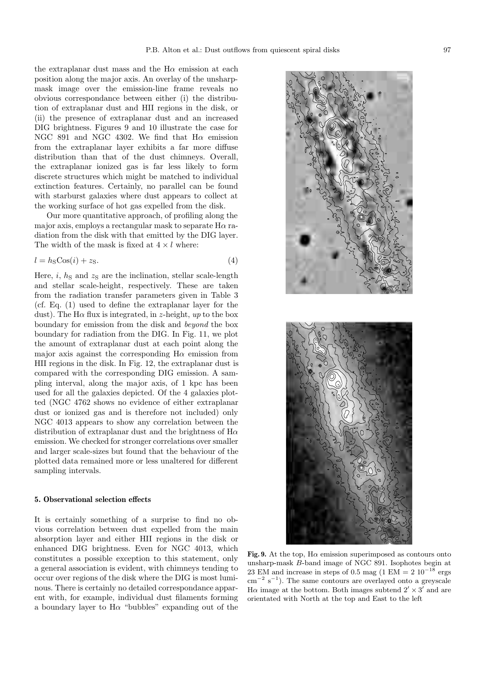the extraplanar dust mass and the  $H\alpha$  emission at each position along the major axis. An overlay of the unsharpmask image over the emission-line frame reveals no obvious correspondance between either (i) the distribution of extraplanar dust and HII regions in the disk, or (ii) the presence of extraplanar dust and an increased DIG brightness. Figures 9 and 10 illustrate the case for NGC 891 and NGC 4302. We find that  $H\alpha$  emission from the extraplanar layer exhibits a far more diffuse distribution than that of the dust chimneys. Overall, the extraplanar ionized gas is far less likely to form discrete structures which might be matched to individual extinction features. Certainly, no parallel can be found with starburst galaxies where dust appears to collect at the working surface of hot gas expelled from the disk.

Our more quantitative approach, of profiling along the major axis, employs a rectangular mask to separate  $H\alpha$  radiation from the disk with that emitted by the DIG layer. The width of the mask is fixed at  $4 \times l$  where:

$$
l = hS \text{Cos}(i) + zS.
$$
\n<sup>(4)</sup>

Here, i,  $h<sub>S</sub>$  and  $z<sub>S</sub>$  are the inclination, stellar scale-length and stellar scale-height, respectively. These are taken from the radiation transfer parameters given in Table 3 (cf. Eq. (1) used to define the extraplanar layer for the dust). The H $\alpha$  flux is integrated, in z-height, up to the box boundary for emission from the disk and beyond the box boundary for radiation from the DIG. In Fig. 11, we plot the amount of extraplanar dust at each point along the major axis against the corresponding  $H\alpha$  emission from HII regions in the disk. In Fig. 12, the extraplanar dust is compared with the corresponding DIG emission. A sampling interval, along the major axis, of 1 kpc has been used for all the galaxies depicted. Of the 4 galaxies plotted (NGC 4762 shows no evidence of either extraplanar dust or ionized gas and is therefore not included) only NGC 4013 appears to show any correlation between the distribution of extraplanar dust and the brightness of  $H\alpha$ emission. We checked for stronger correlations over smaller and larger scale-sizes but found that the behaviour of the plotted data remained more or less unaltered for different sampling intervals.

#### **5. Observational selection effects**

It is certainly something of a surprise to find no obvious correlation between dust expelled from the main absorption layer and either HII regions in the disk or enhanced DIG brightness. Even for NGC 4013, which constitutes a possible exception to this statement, only a general association is evident, with chimneys tending to occur over regions of the disk where the DIG is most luminous. There is certainly no detailed correspondance apparent with, for example, individual dust filaments forming a boundary layer to  $H\alpha$  "bubbles" expanding out of the



**Fig. 9.** At the top,  $H\alpha$  emission superimposed as contours onto unsharp-mask B-band image of NGC 891. Isophotes begin at 23 EM and increase in steps of 0.5 mag (1 EM = 2  $10^{-18}$  ergs  $\text{cm}^{-2} \text{ s}^{-1}$ ). The same contours are overlayed onto a greyscale H $\alpha$  image at the bottom. Both images subtend  $2' \times 3'$  and are orientated with North at the top and East to the left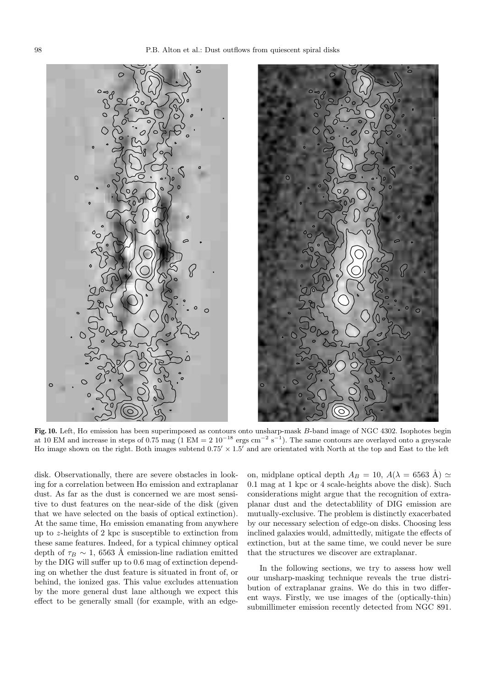



**Fig. 10.** Left, Hα emission has been superimposed as contours onto unsharp-mask B-band image of NGC 4302. Isophotes begin at 10 EM and increase in steps of 0.75 mag (1 EM = 2  $10^{-18}$  ergs cm<sup>-2</sup> s<sup>-1</sup>). The same contours are overlayed onto a greyscale H $\alpha$  image shown on the right. Both images subtend 0.75'  $\times$  1.5' and are orientated with North at the top and East to the left

disk. Observationally, there are severe obstacles in looking for a correlation between  $H\alpha$  emission and extraplanar dust. As far as the dust is concerned we are most sensitive to dust features on the near-side of the disk (given that we have selected on the basis of optical extinction). At the same time,  $H\alpha$  emission emanating from anywhere up to z-heights of 2 kpc is susceptible to extinction from these same features. Indeed, for a typical chimney optical depth of  $\tau_B \sim 1$ , 6563 Å emission-line radiation emitted by the DIG will suffer up to 0.6 mag of extinction depending on whether the dust feature is situated in front of, or behind, the ionized gas. This value excludes attenuation by the more general dust lane although we expect this effect to be generally small (for example, with an edgeon, midplane optical depth  $A_B = 10$ ,  $A(\lambda = 6563 \text{ Å}) \simeq$ 0.1 mag at 1 kpc or 4 scale-heights above the disk). Such considerations might argue that the recognition of extraplanar dust and the detectablility of DIG emission are mutually-exclusive. The problem is distinctly exacerbated by our necessary selection of edge-on disks. Choosing less inclined galaxies would, admittedly, mitigate the effects of extinction, but at the same time, we could never be sure that the structures we discover are extraplanar.

In the following sections, we try to assess how well our unsharp-masking technique reveals the true distribution of extraplanar grains. We do this in two different ways. Firstly, we use images of the (optically-thin) submillimeter emission recently detected from NGC 891.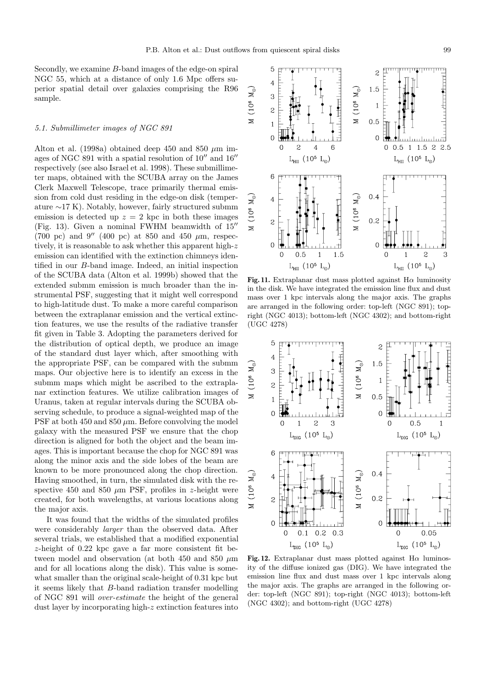Secondly, we examine B-band images of the edge-on spiral NGC 55, which at a distance of only 1.6 Mpc offers superior spatial detail over galaxies comprising the R96 sample.

### 5.1. Submillimeter images of NGC 891

Alton et al. (1998a) obtained deep 450 and 850  $\mu$ m images of NGC 891 with a spatial resolution of  $10<sup>u</sup>$  and  $16<sup>u</sup>$ respectively (see also Israel et al. 1998). These submillimeter maps, obtained with the SCUBA array on the James Clerk Maxwell Telescope, trace primarily thermal emission from cold dust residing in the edge-on disk (temperature ∼17 K). Notably, however, fairly structured submm emission is detected up  $z = 2$  kpc in both these images (Fig. 13). Given a nominal FWHM beamwidth of  $15$ <sup>"</sup> (700 pc) and 9'' (400 pc) at 850 and 450  $\mu$ m, respectively, it is reasonable to ask whether this apparent high-z emission can identified with the extinction chimneys identified in our B-band image. Indeed, an initial inspection of the SCUBA data (Alton et al. 1999b) showed that the extended submm emission is much broader than the instrumental PSF, suggesting that it might well correspond to high-latitude dust. To make a more careful comparison between the extraplanar emission and the vertical extinction features, we use the results of the radiative transfer fit given in Table 3. Adopting the parameters derived for the distribution of optical depth, we produce an image of the standard dust layer which, after smoothing with the appropriate PSF, can be compared with the submm maps. Our objective here is to identify an excess in the submm maps which might be ascribed to the extraplanar extinction features. We utilize calibration images of Uranus, taken at regular intervals during the SCUBA observing schedule, to produce a signal-weighted map of the PSF at both 450 and 850  $\mu$ m. Before convolving the model galaxy with the measured PSF we ensure that the chop direction is aligned for both the object and the beam images. This is important because the chop for NGC 891 was along the minor axis and the side lobes of the beam are known to be more pronounced along the chop direction. Having smoothed, in turn, the simulated disk with the respective 450 and 850  $\mu$ m PSF, profiles in z-height were created, for both wavelengths, at various locations along the major axis.

It was found that the widths of the simulated profiles were considerably *larger* than the observed data. After several trials, we established that a modified exponential z-height of 0.22 kpc gave a far more consistent fit between model and observation (at both 450 and 850  $\mu$ m and for all locations along the disk). This value is somewhat smaller than the original scale-height of 0.31 kpc but it seems likely that B-band radiation transfer modelling of NGC 891 will over-estimate the height of the general dust layer by incorporating high-z extinction features into

**Fig. 11.** Extraplanar dust mass plotted against  $H\alpha$  luminosity in the disk. We have integrated the emission line flux and dust mass over 1 kpc intervals along the major axis. The graphs are arranged in the following order: top-left (NGC 891); topright (NGC 4013); bottom-left (NGC 4302); and bottom-right (UGC 4278)

 $\mathbf{M}_\odot$ 

 $(10<sup>6</sup>)$ 

 $\geq$ 

 $\overline{\mathcal{L}}$ 

 $L_{\text{DIC}}$  (10<sup>5</sup> L<sub>o</sub>)

3

 $\overline{c}$ 

1.5

 $\mathbf{1}$ 

 $\overline{0}$ 

 $\mathbf 0$ 

 $0.5$ 

 $\rm L_{\rm DIG}$  (10<sup>5</sup>  $\rm L_{\odot})$ 

 $\mathbf{1}$ 

 $0.5$ 

5

 $\overline{4}$ 

3

 $\overline{c}$ 

 $\mathbf{1}$  $\overline{0}$ 

> $\mathbf 0$  $\mathbf{1}$

 $\mathbf{M}_\odot$ 

 $(10^{6}$ 



ity of the diffuse ionized gas (DIG). We have integrated the emission line flux and dust mass over 1 kpc intervals along the major axis. The graphs are arranged in the following order: top-left (NGC 891); top-right (NGC 4013); bottom-left (NGC 4302); and bottom-right (UGC 4278)

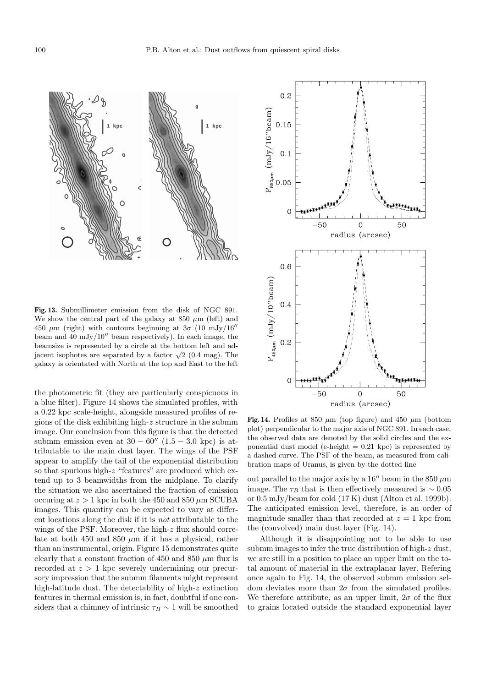

**Fig. 13.** Submillimeter emission from the disk of NGC 891. We show the central part of the galaxy at  $850 \ \mu m$  (left) and 450  $\mu$ m (right) with contours beginning at  $3\sigma$  (10 mJy/16<sup>0</sup>) beam and 40 mJy/10" beam respectively). In each image, the beamsize is represented by a circle at the bottom left and adjacent isophotes are separated by a factor  $\sqrt{2}$  (0.4 mag). The galaxy is orientated with North at the top and East to the left

the photometric fit (they are particularly conspicuous in a blue filter). Figure 14 shows the simulated profiles, with a 0.22 kpc scale-height, alongside measured profiles of regions of the disk exhibiting high- $z$  structure in the submm image. Our conclusion from this figure is that the detected submm emission even at  $30 - 60''$  (1.5 – 3.0 kpc) is attributable to the main dust layer. The wings of the PSF appear to amplify the tail of the exponential distribution so that spurious high-z "features" are produced which extend up to 3 beamwidths from the midplane. To clarify the situation we also ascertained the fraction of emission occuring at  $z > 1$  kpc in both the 450 and 850  $\mu$ m SCUBA images. This quantity can be expected to vary at different locations along the disk if it is not attributable to the wings of the PSF. Moreover, the high-z flux should correlate at both 450 and 850  $\mu$ m if it has a physical, rather than an instrumental, origin. Figure 15 demonstrates quite clearly that a constant fraction of 450 and 850  $\mu$ m flux is recorded at  $z > 1$  kpc severely undermining our precursory impression that the submm filaments might represent high-latitude dust. The detectability of high-z extinction features in thermal emission is, in fact, doubtful if one considers that a chimney of intrinsic  $\tau_B \sim 1$  will be smoothed



**Fig. 14.** Profiles at 850  $\mu$ m (top figure) and 450  $\mu$ m (bottom plot) perpendicular to the major axis of NGC 891. In each case, the observed data are denoted by the solid circles and the exponential dust model (e-height  $= 0.21$  kpc) is represented by a dashed curve. The PSF of the beam, as measured from calibration maps of Uranus, is given by the dotted line

out parallel to the major axis by a 16" beam in the 850  $\mu$ m image. The  $\tau_B$  that is then effectively measured is ~ 0.05 or 0.5 mJy/beam for cold (17 K) dust (Alton et al. 1999b). The anticipated emission level, therefore, is an order of magnitude smaller than that recorded at  $z = 1$  kpc from the (convolved) main dust layer (Fig. 14).

Although it is disappointing not to be able to use submm images to infer the true distribution of high-z dust, we are still in a position to place an upper limit on the total amount of material in the extraplanar layer. Refering once again to Fig. 14, the observed submm emission seldom deviates more than  $2\sigma$  from the simulated profiles. We therefore attribute, as an upper limit,  $2\sigma$  of the flux to grains located outside the standard exponential layer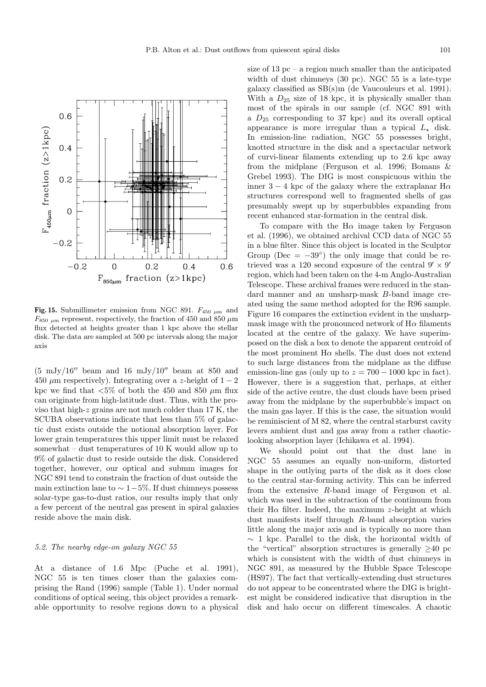

**Fig. 15.** Submillimeter emission from NGC 891.  $F_{450 \mu m}$  and  $F_{850 \mu m}$  represent, respectively, the fraction of 450 and 850  $\mu m$ flux detected at heights greater than 1 kpc above the stellar disk. The data are sampled at 500 pc intervals along the major axis

 $(5 \text{ mJy}/16''$  beam and 16 mJy/10'' beam at 850 and 450  $\mu$ m respectively). Integrating over a z-height of 1 – 2 kpc we find that  $\langle 5\%$  of both the 450 and 850  $\mu$ m flux can originate from high-latitude dust. Thus, with the proviso that high-z grains are not much colder than 17 K, the SCUBA observations indicate that less than 5% of galactic dust exists outside the notional absorption layer. For lower grain temperatures this upper limit must be relaxed somewhat – dust temperatures of 10 K would allow up to 9% of galactic dust to reside outside the disk. Considered together, however, our optical and submm images for NGC 891 tend to constrain the fraction of dust outside the main extinction lane to  $\sim 1-5\%$ . If dust chimneys possess solar-type gas-to-dust ratios, our results imply that only a few percent of the neutral gas present in spiral galaxies reside above the main disk.

# 5.2. The nearby edge-on galaxy NGC 55

At a distance of 1.6 Mpc (Puche et al. 1991), NGC 55 is ten times closer than the galaxies comprising the Rand (1996) sample (Table 1). Under normal conditions of optical seeing, this object provides a remarkable opportunity to resolve regions down to a physical size of  $13$  pc – a region much smaller than the anticipated width of dust chimneys (30 pc). NGC 55 is a late-type galaxy classified as SB(s)m (de Vaucouleurs et al. 1991). With a  $D_{25}$  size of 18 kpc, it is physically smaller than most of the spirals in our sample (cf. NGC 891 with a  $D_{25}$  corresponding to 37 kpc) and its overall optical appearance is more irregular than a typical  $L_{\star}$  disk. In emission-line radiation, NGC 55 possesses bright, knotted structure in the disk and a spectacular network of curvi-linear filaments extending up to 2.6 kpc away from the midplane (Ferguson et al. 1996; Bomans & Grebel 1993). The DIG is most conspicuous within the inner 3 − 4 kpc of the galaxy where the extraplanar H $\alpha$ structures correspond well to fragmented shells of gas presumably swept up by superbubbles expanding from recent enhanced star-formation in the central disk.

To compare with the  $H\alpha$  image taken by Ferguson et al. (1996), we obtained archival CCD data of NGC 55 in a blue filter. Since this object is located in the Sculptor Group (Dec =  $-39°$ ) the only image that could be retrieved was a 120 second exposure of the central  $9' \times 9'$ region, which had been taken on the 4-m Anglo-Australian Telescope. These archival frames were reduced in the standard manner and an unsharp-mask B-band image created using the same method adopted for the R96 sample. Figure 16 compares the extinction evident in the unsharpmask image with the pronounced network of  $H\alpha$  filaments located at the centre of the galaxy. We have superimposed on the disk a box to denote the apparent centroid of the most prominent  $H\alpha$  shells. The dust does not extend to such large distances from the midplane as the diffuse emission-line gas (only up to  $z = 700 - 1000$  kpc in fact). However, there is a suggestion that, perhaps, at either side of the active centre, the dust clouds have been prised away from the midplane by the superbubble's impact on the main gas layer. If this is the case, the situation would be reminiscient of M 82, where the central starburst cavity levers ambient dust and gas away from a rather chaoticlooking absorption layer (Ichikawa et al. 1994).

We should point out that the dust lane in NGC 55 assumes an equally non-uniform, distorted shape in the outlying parts of the disk as it does close to the central star-forming activity. This can be inferred from the extensive R-band image of Ferguson et al. which was used in the subtraction of the continuum from their H $\alpha$  filter. Indeed, the maximum z-height at which dust manifests itself through R-band absorption varies little along the major axis and is typically no more than ∼ 1 kpc. Parallel to the disk, the horizontal width of the "vertical" absorption structures is generally  $\geq 40$  pc which is consistent with the width of dust chimneys in NGC 891, as measured by the Hubble Space Telescope (HS97). The fact that vertically-extending dust structures do not appear to be concentrated where the DIG is brightest might be considered indicative that disruption in the disk and halo occur on different timescales. A chaotic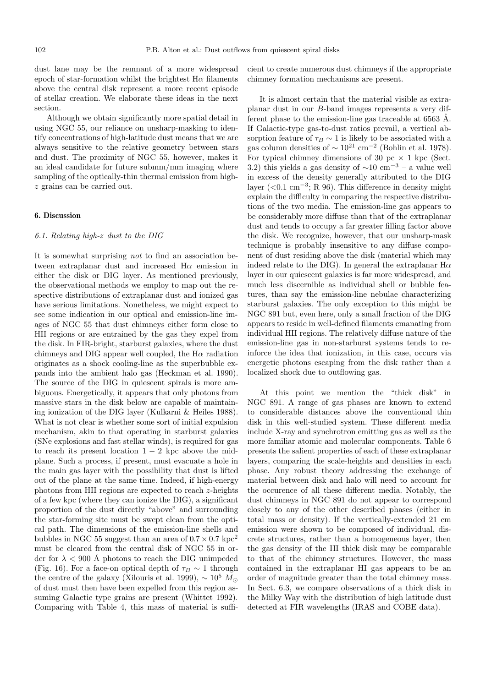dust lane may be the remnant of a more widespread epoch of star-formation whilst the brightest  $H\alpha$  filaments above the central disk represent a more recent episode of stellar creation. We elaborate these ideas in the next section.

Although we obtain significantly more spatial detail in using NGC 55, our reliance on unsharp-masking to identify concentrations of high-latitude dust means that we are always sensitive to the relative geometry between stars and dust. The proximity of NGC 55, however, makes it an ideal candidate for future submm/mm imaging where sampling of the optically-thin thermal emission from highz grains can be carried out.

## **6. Discussion**

## 6.1. Relating high-z dust to the DIG

It is somewhat surprising not to find an association between extraplanar dust and increased  $H\alpha$  emission in either the disk or DIG layer. As mentioned previously, the observational methods we employ to map out the respective distributions of extraplanar dust and ionized gas have serious limitations. Nonetheless, we might expect to see some indication in our optical and emission-line images of NGC 55 that dust chimneys either form close to HII regions or are entrained by the gas they expel from the disk. In FIR-bright, starburst galaxies, where the dust chimneys and DIG appear well coupled, the  $H\alpha$  radiation originates as a shock cooling-line as the superbubble expands into the ambient halo gas (Heckman et al. 1990). The source of the DIG in quiescent spirals is more ambiguous. Energetically, it appears that only photons from massive stars in the disk below are capable of maintaining ionization of the DIG layer (Kulkarni & Heiles 1988). What is not clear is whether some sort of initial expulsion mechanism, akin to that operating in starburst galaxies (SNe explosions and fast stellar winds), is required for gas to reach its present location  $1 - 2$  kpc above the midplane. Such a process, if present, must evacuate a hole in the main gas layer with the possibility that dust is lifted out of the plane at the same time. Indeed, if high-energy photons from HII regions are expected to reach z-heights of a few kpc (where they can ionize the DIG), a significant proportion of the dust directly "above" and surrounding the star-forming site must be swept clean from the optical path. The dimensions of the emission-line shells and bubbles in NGC 55 suggest than an area of  $0.7 \times 0.7$  kpc<sup>2</sup> must be cleared from the central disk of NGC 55 in order for  $\lambda < 900$  Å photons to reach the DIG unimpeded (Fig. 16). For a face-on optical depth of  $\tau_B \sim 1$  through the centre of the galaxy (Xilouris et al. 1999),  $\sim 10^5 M_{\odot}$ of dust must then have been expelled from this region assuming Galactic type grains are present (Whittet 1992). Comparing with Table 4, this mass of material is sufficient to create numerous dust chimneys if the appropriate chimney formation mechanisms are present.

It is almost certain that the material visible as extraplanar dust in our B-band images represents a very different phase to the emission-line gas traceable at  $6563$  Å. If Galactic-type gas-to-dust ratios prevail, a vertical absorption feature of  $\tau_B \sim 1$  is likely to be associated with a gas column densities of  $\sim 10^{21}$  cm<sup>-2</sup> (Bohlin et al. 1978). For typical chimney dimensions of 30 pc  $\times$  1 kpc (Sect. 3.2) this yields a gas density of  $\sim 10 \text{ cm}^{-3}$  – a value well in excess of the density generally attributed to the DIG layer (<0.1 cm<sup>-3</sup>; R 96). This difference in density might explain the difficulty in comparing the respective distributions of the two media. The emission-line gas appears to be considerably more diffuse than that of the extraplanar dust and tends to occupy a far greater filling factor above the disk. We recognize, however, that our unsharp-mask technique is probably insensitive to any diffuse component of dust residing above the disk (material which may indeed relate to the DIG). In general the extraplanar  $H\alpha$ layer in our quiescent galaxies is far more widespread, and much less discernible as individual shell or bubble features, than say the emission-line nebulae characterizing starburst galaxies. The only exception to this might be NGC 891 but, even here, only a small fraction of the DIG appears to reside in well-defined filaments emanating from individual HII regions. The relatively diffuse nature of the emission-line gas in non-starburst systems tends to reinforce the idea that ionization, in this case, occurs via energetic photons escaping from the disk rather than a localized shock due to outflowing gas.

At this point we mention the "thick disk" in NGC 891. A range of gas phases are known to extend to considerable distances above the conventional thin disk in this well-studied system. These different media include X-ray and synchrotron emitting gas as well as the more familiar atomic and molecular components. Table 6 presents the salient properties of each of these extraplanar layers, comparing the scale-heights and densities in each phase. Any robust theory addressing the exchange of material between disk and halo will need to account for the occurence of all these different media. Notably, the dust chimneys in NGC 891 do not appear to correspond closely to any of the other described phases (either in total mass or density). If the vertically-extended 21 cm emission were shown to be composed of individual, discrete structures, rather than a homogeneous layer, then the gas density of the HI thick disk may be comparable to that of the chimney structures. However, the mass contained in the extraplanar HI gas appears to be an order of magnitude greater than the total chimney mass. In Sect. 6.3, we compare observations of a thick disk in the Milky Way with the distribution of high latitude dust detected at FIR wavelengths (IRAS and COBE data).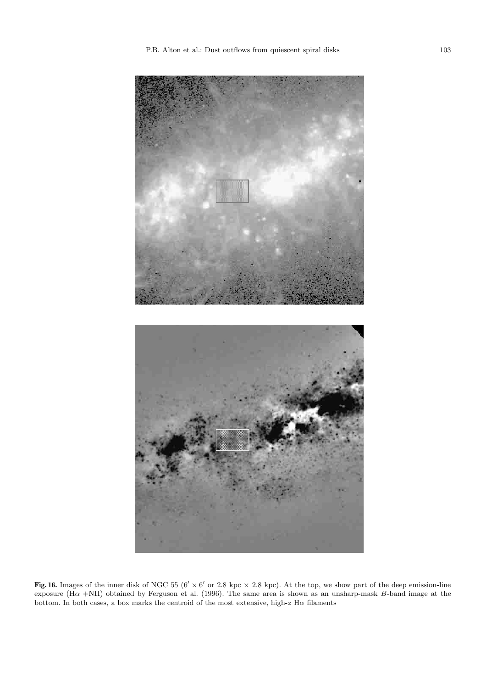

**Fig. 16.** Images of the inner disk of NGC 55 ( $6' \times 6'$  or 2.8 kpc  $\times$  2.8 kpc). At the top, we show part of the deep emission-line exposure (H $\alpha$  +NII) obtained by Ferguson et al. (1996). The same area is shown as an unsharp-mask B-band image at the bottom. In both cases, a box marks the centroid of the most extensive, high-z H $\alpha$  filaments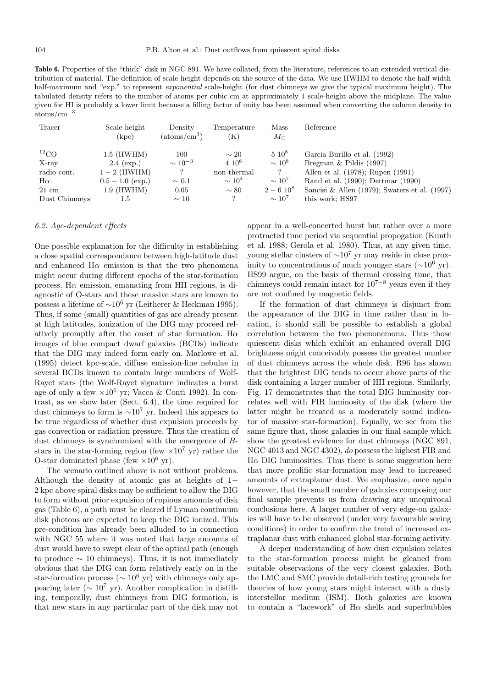Table 6. Properties of the "thick" disk in NGC 891. We have collated, from the literature, references to an extended vertical distribution of material. The definition of scale-height depends on the source of the data. We use HWHM to denote the half-width half-maximum and "exp." to represent *exponential* scale-height (for dust chimneys we give the typical maximum height). The tabulated density refers to the number of atoms per cubic cm at approximately 1 scale-height above the midplane. The value given for HI is probably a lower limit because a filling factor of unity has been assumed when converting the column density to atoms/cm−<sup>3</sup>

| Tracer          | Scale-height<br>(kpc) | Density<br>$(\text{atoms}/\text{cm}^3)$ | Temperature<br>$\rm (K)$ | Mass<br>$M_{\odot}$ | Reference                                     |
|-----------------|-----------------------|-----------------------------------------|--------------------------|---------------------|-----------------------------------------------|
| ${}^{12}CO$     | $1.5$ (HWHM)          | 100                                     | $\sim 20$                | $5.10^8$            | Garcia-Burillo et al. (1992)                  |
| X-ray           | $2.4$ (exp.)          | $\sim 10^{-3}$                          | $4.10^{6}$               | $\sim 10^8$         | Bregman $\&$ Pildis (1997)                    |
| radio cont.     | $1-2$ (HWHM)          |                                         | non-thermal              |                     | Allen et al. (1978); Rupen (1991)             |
| $H\alpha$       | $0.5 - 1.0$ (exp.)    | $\sim 0.1$                              | $\sim 10^4$              | $\sim 10^7$         | Rand et al. (1990); Dettmar (1990)            |
| $21 \text{ cm}$ | $1.9$ (HWHM)          | 0.05                                    | $\sim 80$                | $2-6~10^8$          | Sancisi & Allen (1979); Swaters et al. (1997) |
| Dust Chimneys   | 1.5                   | $\sim 10$                               |                          | $\sim 10^7$         | this work; HS97                               |

#### 6.2. Age-dependent effects

One possible explanation for the difficulty in establishing a close spatial correspondance between high-latitude dust and enhanced  $H\alpha$  emission is that the two phenomena might occur during different epochs of the star-formation process. H $\alpha$  emission, emanating from HII regions, is diagnostic of O-stars and these massive stars are known to possess a lifetime of <sup>∼</sup>10<sup>6</sup> yr (Leitherer & Heckman 1995). Thus, if some (small) quantities of gas are already present at high latitudes, ionization of the DIG may proceed relatively promptly after the onset of star formation. H $\alpha$ images of blue compact dwarf galaxies (BCDs) indicate that the DIG may indeed form early on. Marlowe et al. (1995) detect kpc-scale, diffuse emission-line nebulae in several BCDs known to contain large numbers of Wolf-Rayet stars (the Wolf-Rayet signature indicates a burst age of only a few  $\times 10^6$  yr; Vacca & Conti 1992). In contrast, as we show later (Sect. 6.4), the time required for dust chimneys to form is  $\sim 10^7$  yr. Indeed this appears to be true regardless of whether dust expulsion proceeds by gas convection or radiation pressure. Thus the creation of dust chimneys is synchronized with the emergence of Bstars in the star-forming region (few  $\times 10^7$  yr) rather the O-star dominated phase (few  $\times 10^6$  yr).

The scenario outlined above is not without problems. Although the density of atomic gas at heights of 1− 2 kpc above spiral disks may be sufficient to allow the DIG to form without prior expulsion of copious amounts of disk gas (Table 6), a path must be cleared if Lyman continuum disk photons are expected to keep the DIG ionized. This pre-condition has already been alluded to in connection with NGC 55 where it was noted that large amounts of dust would have to swept clear of the optical path (enough to produce  $\sim$  10 chimneys). Thus, it is not immediately obvious that the DIG can form relatively early on in the star-formation process ( $\sim 10^6$  yr) with chimneys only appearing later ( $\sim 10^7$  yr). Another complication in distilling, temporally, dust chimneys from DIG formation, is that new stars in any particular part of the disk may not appear in a well-concerted burst but rather over a more protracted time period via sequential propogation (Kunth et al. 1988; Gerola et al. 1980). Thus, at any given time, young stellar clusters of  $\sim 10^7$  yr may reside in close proximity to concentrations of much younger stars ( $\sim 10^6$  yr). HS99 argue, on the basis of thermal crossing time, that chimneys could remain intact for  $10^{7-8}$  years even if they are not confined by magnetic fields.

If the formation of dust chimneys is disjunct from the appearance of the DIG in time rather than in location, it should still be possible to establish a global correlation between the two phenonemona. Thus those quiescent disks which exhibit an enhanced overall DIG brightness might conceivably possess the greatest number of dust chimneys across the whole disk. R96 has shown that the brightest DIG tends to occur above parts of the disk containing a larger number of HII regions. Similarly, Fig. 17 demonstrates that the total DIG luminosity correlates well with FIR luminosity of the disk (where the latter might be treated as a moderately sound indicator of massive star-formation). Equally, we see from the same figure that, those galaxies in our final sample which show the greatest evidence for dust chimneys (NGC 891, NGC 4013 and NGC 4302), do possess the highest FIR and  $H\alpha$  DIG luminosities. Thus there is some suggestion here that more prolific star-formation may lead to increased amounts of extraplanar dust. We emphasize, once again however, that the small number of galaxies composing our final sample prevents us from drawing any unequivocal conclusions here. A larger number of very edge-on galaxies will have to be observed (under very favourable seeing conditions) in order to confirm the trend of increased extraplanar dust with enhanced global star-forming activity.

A deeper understanding of how dust expulsion relates to the star-formation process might be gleaned from suitable observations of the very closest galaxies. Both the LMC and SMC provide detail-rich testing grounds for theories of how young stars might interact with a dusty interstellar medium (ISM). Both galaxies are known to contain a "lacework" of  $H\alpha$  shells and superbubbles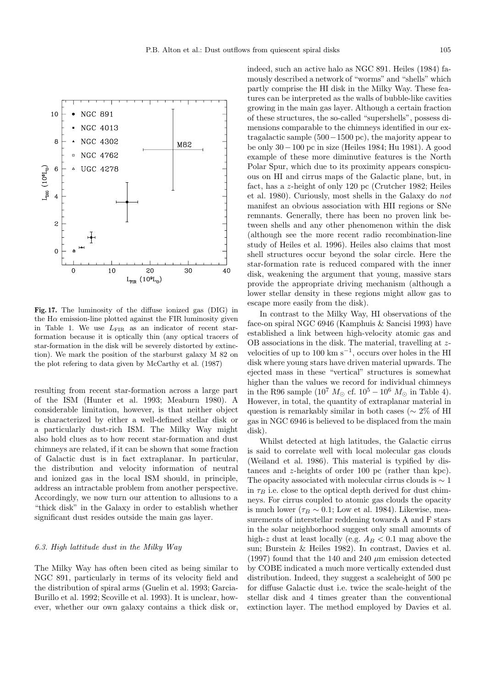

**Fig. 17.** The luminosity of the diffuse ionized gas (DIG) in the  $H\alpha$  emission-line plotted against the FIR luminosity given in Table 1. We use  $L_{\text{FIR}}$  as an indicator of recent starformation because it is optically thin (any optical tracers of star-formation in the disk will be severely distorted by extinction). We mark the position of the starburst galaxy M 82 on the plot refering to data given by McCarthy et al. (1987)

resulting from recent star-formation across a large part of the ISM (Hunter et al. 1993; Meaburn 1980). A considerable limitation, however, is that neither object is characterized by either a well-defined stellar disk or a particularly dust-rich ISM. The Milky Way might also hold clues as to how recent star-formation and dust chimneys are related, if it can be shown that some fraction of Galactic dust is in fact extraplanar. In particular, the distribution and velocity information of neutral and ionized gas in the local ISM should, in principle, address an intractable problem from another perspective. Accordingly, we now turn our attention to allusions to a "thick disk" in the Galaxy in order to establish whether significant dust resides outside the main gas layer.

## 6.3. High lattitude dust in the Milky Way

The Milky Way has often been cited as being similar to NGC 891, particularly in terms of its velocity field and the distribution of spiral arms (Guelin et al. 1993; Garcia-Burillo et al. 1992; Scoville et al. 1993). It is unclear, however, whether our own galaxy contains a thick disk or,

indeed, such an active halo as NGC 891. Heiles (1984) famously described a network of "worms" and "shells" which partly comprise the HI disk in the Milky Way. These features can be interpreted as the walls of bubble-like cavities growing in the main gas layer. Although a certain fraction of these structures, the so-called "supershells", possess dimensions comparable to the chimneys identified in our extragalactic sample (500−1500 pc), the majority appear to be only 30−100 pc in size (Heiles 1984; Hu 1981). A good example of these more diminutive features is the North Polar Spur, which due to its proximity appears conspicuous on HI and cirrus maps of the Galactic plane, but, in fact, has a z-height of only 120 pc (Crutcher 1982; Heiles et al. 1980). Curiously, most shells in the Galaxy do not manifest an obvious association with HII regions or SNe remnants. Generally, there has been no proven link between shells and any other phenomenon within the disk (although see the more recent radio recombination-line study of Heiles et al. 1996). Heiles also claims that most shell structures occur beyond the solar circle. Here the star-formation rate is reduced compared with the inner disk, weakening the argument that young, massive stars provide the appropriate driving mechanism (although a lower stellar density in these regions might allow gas to escape more easily from the disk).

In contrast to the Milky Way, HI observations of the face-on spiral NGC 6946 (Kamphuis & Sancisi 1993) have established a link between high-velocity atomic gas and OB associations in the disk. The material, travelling at zvelocities of up to 100 km s<sup>-1</sup>, occurs over holes in the HI disk where young stars have driven material upwards. The ejected mass in these "vertical" structures is somewhat higher than the values we record for individual chimneys in the R96 sample ( $10^7$   $M_{\odot}$  cf.  $10^5 - 10^6$   $M_{\odot}$  in Table 4). However, in total, the quantity of extraplanar material in question is remarkably similar in both cases (∼ 2% of HI gas in NGC 6946 is believed to be displaced from the main disk).

Whilst detected at high latitudes, the Galactic cirrus is said to correlate well with local molecular gas clouds (Weiland et al. 1986). This material is typified by distances and z-heights of order 100 pc (rather than kpc). The opacity associated with molecular cirrus clouds is  $\sim 1$ in  $\tau_B$  i.e. close to the optical depth derived for dust chimneys. For cirrus coupled to atomic gas clouds the opacity is much lower ( $\tau_B \sim 0.1$ ; Low et al. 1984). Likewise, measurements of interstellar reddening towards A and F stars in the solar neighborhood suggest only small amounts of high-z dust at least locally (e.g.  $A_B < 0.1$  mag above the sun; Burstein & Heiles 1982). In contrast, Davies et al. (1997) found that the 140 and 240  $\mu$ m emission detected by COBE indicated a much more vertically extended dust distribution. Indeed, they suggest a scaleheight of 500 pc for diffuse Galactic dust i.e. twice the scale-height of the stellar disk and 4 times greater than the conventional extinction layer. The method employed by Davies et al.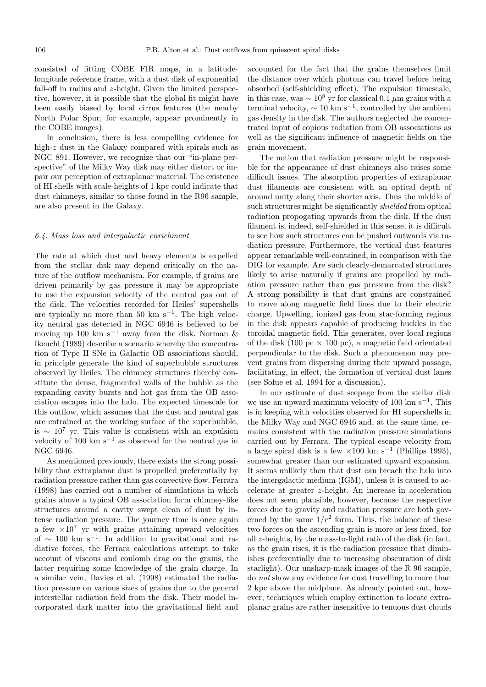consisted of fitting COBE FIR maps, in a latitudelongitude reference frame, with a dust disk of exponential fall-off in radius and z-height. Given the limited perspective, however, it is possible that the global fit might have been easily biased by local cirrus features (the nearby North Polar Spur, for example, appear prominently in the COBE images).

In conclusion, there is less compelling evidence for high-z dust in the Galaxy compared with spirals such as NGC 891. However, we recognize that our "in-plane perspective" of the Milky Way disk may either distort or impair our perception of extraplanar material. The existence of HI shells with scale-heights of 1 kpc could indicate that dust chimneys, similar to those found in the R96 sample, are also present in the Galaxy.

## 6.4. Mass loss and intergalactic enrichment

The rate at which dust and heavy elements is expelled from the stellar disk may depend critically on the nature of the outflow mechanism. For example, if grains are driven primarily by gas pressure it may be appropriate to use the expansion velocity of the neutral gas out of the disk. The velocities recorded for Heiles' supershells are typically no more than 50 km s<sup> $-1$ </sup>. The high velocity neutral gas detected in NGC 6946 is believed to be moving up 100 km s<sup>−1</sup> away from the disk. Norman  $\&$ Ikeuchi (1989) describe a scenario whereby the concentration of Type II SNe in Galactic OB associations should, in principle generate the kind of superbubble structures observed by Heiles. The chimney structures thereby constitute the dense, fragmented walls of the bubble as the expanding cavity bursts and hot gas from the OB association escapes into the halo. The expected timescale for this outflow, which assumes that the dust and neutral gas are entrained at the working surface of the superbubble, is <sup>∼</sup> <sup>10</sup><sup>7</sup> yr. This value is consistent with an expulsion velocity of 100 km s<sup> $-1$ </sup> as observed for the neutral gas in NGC 6946.

As mentioned previously, there exists the strong possibility that extraplanar dust is propelled preferentially by radiation pressure rather than gas convective flow. Ferrara (1998) has carried out a number of simulations in which grains above a typical OB association form chimney-like structures around a cavity swept clean of dust by intense radiation pressure. The journey time is once again a few  $\times 10^7$  yr with grains attaining upward velocities of  $\sim$  100 km s<sup>-1</sup>. In addition to gravitational and radiative forces, the Ferrara calculations attempt to take account of viscous and coulomb drag on the grains, the latter requiring some knowledge of the grain charge. In a similar vein, Davies et al. (1998) estimated the radiation pressure on various sizes of grains due to the general interstellar radiation field from the disk. Their model incorporated dark matter into the gravitational field and

accounted for the fact that the grains themselves limit the distance over which photons can travel before being absorbed (self-shielding effect). The expulsion timescale, in this case, was  $\sim 10^8$  yr for classical 0.1  $\mu$ m grains with a terminal velocity,  $\sim 10 \text{ km s}^{-1}$ , controlled by the ambient gas density in the disk. The authors neglected the concentrated input of copious radiation from OB associations as well as the significant influence of magnetic fields on the grain movement.

The notion that radiation pressure might be responsible for the appearance of dust chimneys also raises some difficult issues. The absorption properties of extraplanar dust filaments are consistent with an optical depth of around unity along their shorter axis. Thus the middle of such structures might be significantly shielded from optical radiation propogating upwards from the disk. If the dust filament is, indeed, self-shielded in this sense, it is difficult to see how such structures can be pushed outwards via radiation pressure. Furthermore, the vertical dust features appear remarkable well-contained, in comparison with the DIG for example. Are such clearly-demarcated structures likely to arise naturally if grains are propelled by radiation pressure rather than gas pressure from the disk? A strong possibility is that dust grains are constrained to move along magnetic field lines due to their electric charge. Upwelling, ionized gas from star-forming regions in the disk appears capable of producing buckles in the toroidal magnetic field. This generates, over local regions of the disk (100 pc  $\times$  100 pc), a magnetic field orientated perpendicular to the disk. Such a phenomenon may prevent grains from dispersing during their upward passage, facilitating, in effect, the formation of vertical dust lanes (see Sofue et al. 1994 for a discussion).

In our estimate of dust seepage from the stellar disk we use an upward maximum velocity of 100 km s−<sup>1</sup>. This is in keeping with velocities observed for HI supershells in the Milky Way and NGC 6946 and, at the same time, remains consistent with the radiation pressure simulations carried out by Ferrara. The typical escape velocity from a large spiral disk is a few  $\times100 \text{ km s}^{-1}$  (Phillips 1993), somewhat greater than our estimated upward expansion. It seems unlikely then that dust can breach the halo into the intergalactic medium (IGM), unless it is caused to accelerate at greater z-height. An increase in acceleration does not seem plausible, however, because the respective forces due to gravity and radiation pressure are both governed by the same  $1/r^2$  form. Thus, the balance of these two forces on the ascending grain is more or less fixed, for all  $z$ -heights, by the mass-to-light ratio of the disk (in fact, as the grain rises, it is the radiation pressure that diminishes preferentially due to increasing obscuration of disk starlight). Our unsharp-mask images of the R 96 sample, do not show any evidence for dust travelling to more than 2 kpc above the midplane. As already pointed out, however, techniques which employ extinction to locate extraplanar grains are rather insensitive to tenuous dust clouds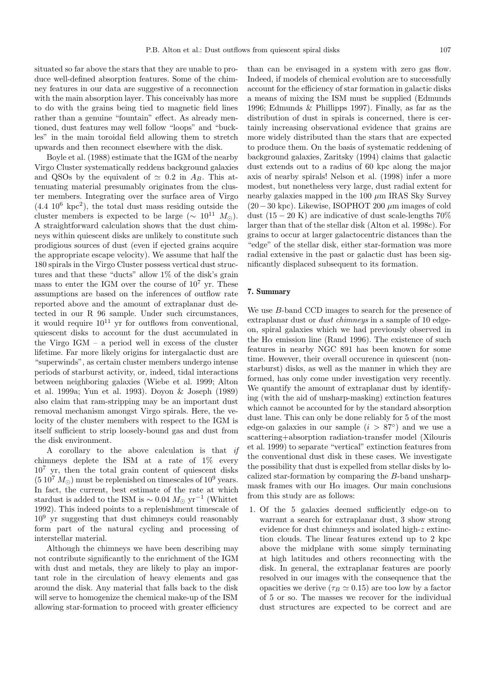situated so far above the stars that they are unable to produce well-defined absorption features. Some of the chimney features in our data are suggestive of a reconnection with the main absorption layer. This conceivably has more to do with the grains being tied to magnetic field lines rather than a genuine "fountain" effect. As already mentioned, dust features may well follow "loops" and "buckles" in the main toroidal field allowing them to stretch upwards and then reconnect elsewhere with the disk.

Boyle et al. (1988) estimate that the IGM of the nearby Virgo Cluster systematically reddens background galaxies and QSOs by the equivalent of  $\simeq$  0.2 in  $A_B$ . This attenuating material presumably originates from the cluster members. Integrating over the surface area of Virgo  $(4.4 \, 10^6 \, \text{kpc}^2)$ , the total dust mass residing outside the cluster members is expected to be large ( $\sim 10^{11} M_{\odot}$ ). A straightforward calculation shows that the dust chimneys within quiescent disks are unlikely to constitute such prodigious sources of dust (even if ejected grains acquire the appropriate escape velocity). We assume that half the 180 spirals in the Virgo Cluster possess vertical dust structures and that these "ducts" allow 1% of the disk's grain mass to enter the IGM over the course of  $10^7$  yr. These assumptions are based on the inferences of outflow rate reported above and the amount of extraplanar dust detected in our R 96 sample. Under such circumstances, it would require  $10^{11}$  yr for outflows from conventional, quiescent disks to account for the dust accumulated in the Virgo  $IGM - a$  period well in excess of the cluster lifetime. Far more likely origins for intergalactic dust are "superwinds", as certain cluster members undergo intense periods of starburst activity, or, indeed, tidal interactions between neighboring galaxies (Wiebe et al. 1999; Alton et al. 1999a; Yun et al. 1993). Doyon & Joseph (1989) also claim that ram-stripping may be an important dust removal mechanism amongst Virgo spirals. Here, the velocity of the cluster members with respect to the IGM is itself sufficient to strip loosely-bound gas and dust from the disk environment.

A corollary to the above calculation is that if chimneys deplete the ISM at a rate of 1% every  $10^7$  yr, then the total grain content of quiescent disks  $(5.10<sup>7</sup> M<sub>o</sub>)$  must be replenished on timescales of  $10<sup>9</sup>$  years. In fact, the current, best estimate of the rate at which stardust is added to the ISM is  $\sim 0.04 M_{\odot}$  yr<sup>-1</sup> (Whittet 1992). This indeed points to a replenishment timescale of 10<sup>9</sup> yr suggesting that dust chimneys could reasonably form part of the natural cycling and processing of interstellar material.

Although the chimneys we have been describing may not contribute significantly to the enrichment of the IGM with dust and metals, they are likely to play an important role in the circulation of heavy elements and gas around the disk. Any material that falls back to the disk will serve to homogenize the chemical make-up of the ISM allowing star-formation to proceed with greater efficiency

than can be envisaged in a system with zero gas flow. Indeed, if models of chemical evolution are to successfully account for the efficiency of star formation in galactic disks a means of mixing the ISM must be supplied (Edmunds 1996; Edmunds & Phillipps 1997). Finally, as far as the distribution of dust in spirals is concerned, there is certainly increasing observational evidence that grains are more widely distributed than the stars that are expected to produce them. On the basis of systematic reddening of background galaxies, Zaritsky (1994) claims that galactic dust extends out to a radius of 60 kpc along the major axis of nearby spirals! Nelson et al. (1998) infer a more modest, but nonetheless very large, dust radial extent for nearby galaxies mapped in the 100  $\mu$ m IRAS Sky Survey  $(20-30 \text{ kpc})$ . Likewise, ISOPHOT 200  $\mu$ m images of cold dust  $(15 - 20 \text{ K})$  are indicative of dust scale-lengths  $70\%$ larger than that of the stellar disk (Alton et al. 1998c). For grains to occur at larger galactocentric distances than the "edge" of the stellar disk, either star-formation was more radial extensive in the past or galactic dust has been significantly displaced subsequent to its formation.

# **7. Summary**

We use B-band CCD images to search for the presence of extraplanar dust or *dust chimneys* in a sample of 10 edgeon, spiral galaxies which we had previously observed in the  $H\alpha$  emission line (Rand 1996). The existence of such features in nearby NGC 891 has been known for some time. However, their overall occurence in quiescent (nonstarburst) disks, as well as the manner in which they are formed, has only come under investigation very recently. We quantify the amount of extraplanar dust by identifying (with the aid of unsharp-masking) extinction features which cannot be accounted for by the standard absorption dust lane. This can only be done reliably for 5 of the most edge-on galaxies in our sample  $(i > 87°)$  and we use a scattering+absorption radiation-transfer model (Xilouris et al. 1999) to separate "vertical" extinction features from the conventional dust disk in these cases. We investigate the possibility that dust is expelled from stellar disks by localized star-formation by comparing the B-band unsharpmask frames with our  $H\alpha$  images. Our main conclusions from this study are as follows:

1. Of the 5 galaxies deemed sufficiently edge-on to warrant a search for extraplanar dust, 3 show strong evidence for dust chimneys and isolated high-z extinction clouds. The linear features extend up to 2 kpc above the midplane with some simply terminating at high latitudes and others reconnecting with the disk. In general, the extraplanar features are poorly resolved in our images with the consequence that the opacities we derive ( $\tau_B \simeq 0.15$ ) are too low by a factor of 5 or so. The masses we recover for the individual dust structures are expected to be correct and are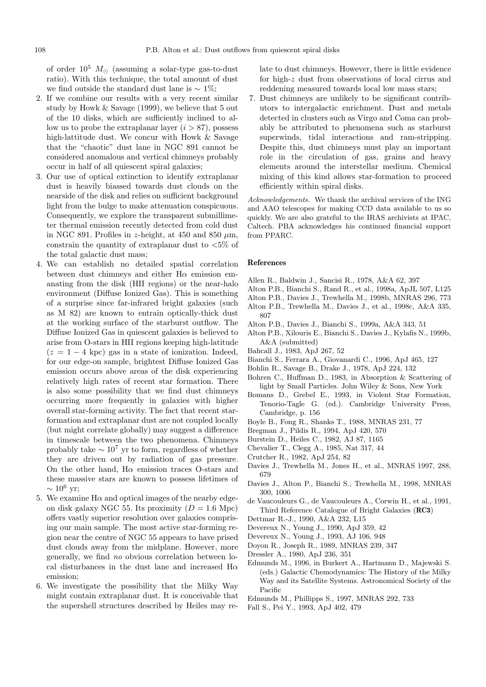of order  $10^5$   $M_{\odot}$  (assuming a solar-type gas-to-dust ratio). With this technique, the total amount of dust we find outside the standard dust lane is  $\sim 1\%$ ;

- 2. If we combine our results with a very recent similar study by Howk & Savage (1999), we believe that 5 out of the 10 disks, which are sufficiently inclined to allow us to probe the extraplanar layer  $(i > 87)$ , possess high-lattitude dust. We concur with Howk & Savage that the "chaotic" dust lane in NGC 891 cannot be considered anomalous and vertical chimneys probably occur in half of all quiescent spiral galaxies;
- 3. Our use of optical extinction to identify extraplanar dust is heavily biassed towards dust clouds on the nearside of the disk and relies on sufficient background light from the bulge to make attenuation conspicuous. Consequently, we explore the transparent submillimeter thermal emission recently detected from cold dust in NGC 891. Profiles in z-height, at 450 and 850  $\mu$ m, constrain the quantity of extraplanar dust to  $<5\%$  of the total galactic dust mass;
- 4. We can establish no detailed spatial correlation between dust chimneys and either  $H\alpha$  emission emanating from the disk (HII regions) or the near-halo environment (Diffuse Ionized Gas). This is something of a surprise since far-infrared bright galaxies (such as M 82) are known to entrain optically-thick dust at the working surface of the starburst outflow. The Diffuse Ionized Gas in quiescent galaxies is believed to arise from O-stars in HII regions keeping high-latitude  $(z = 1 - 4 \text{ kpc})$  gas in a state of ionization. Indeed, for our edge-on sample, brightest Diffuse Ionized Gas emission occurs above areas of the disk experiencing relatively high rates of recent star formation. There is also some possibility that we find dust chimneys occurring more frequently in galaxies with higher overall star-forming activity. The fact that recent starformation and extraplanar dust are not coupled locally (but might correlate globally) may suggest a difference in timescale between the two phenomena. Chimneys probably take  $\sim 10^7$  yr to form, regardless of whether they are driven out by radiation of gas pressure. On the other hand,  $H\alpha$  emission traces O-stars and these massive stars are known to possess lifetimes of  $\sim 10^6$  yr:
- 5. We examine  $H\alpha$  and optical images of the nearby edgeon disk galaxy NGC 55. Its proximity  $(D = 1.6 \text{ Mpc})$ offers vastly superior resolution over galaxies comprising our main sample. The most active star-forming region near the centre of NGC 55 appears to have prised dust clouds away from the midplane. However, more generally, we find no obvious correlation between local disturbances in the dust lane and increased  $H\alpha$ emission;
- 6. We investigate the possibility that the Milky Way might contain extraplanar dust. It is conceivable that the supershell structures described by Heiles may re-

late to dust chimneys. However, there is little evidence for high-z dust from observations of local cirrus and reddening measured towards local low mass stars;

7. Dust chimneys are unlikely to be significant contributors to intergalactic enrichment. Dust and metals detected in clusters such as Virgo and Coma can probably be attributed to phenomena such as starburst superwinds, tidal interactions and ram-stripping. Despite this, dust chimneys must play an important role in the circulation of gas, grains and heavy elements around the interstellar medium. Chemical mixing of this kind allows star-formation to proceed efficiently within spiral disks.

Acknowledgements. We thank the archival services of the ING and AAO telescopes for making CCD data available to us so quickly. We are also grateful to the IRAS archivists at IPAC, Caltech. PBA acknowledges his continued financial support from PPARC.

## **References**

- Allen R., Baldwin J., Sancisi R., 1978, A&A 62, 397
- Alton P.B., Bianchi S., Rand R., et al., 1998a, ApJL 507, L125
- Alton P.B., Davies J., Trewhella M., 1998b, MNRAS 296, 773
- Alton P.B., Trewhella M., Davies J., et al., 1998c, A&A 335, 807
- Alton P.B., Davies J., Bianchi S., 1999a, A&A 343, 51
- Alton P.B., Xilouris E., Bianchi S., Davies J., Kylafis N., 1999b, A&A (submitted)
- Bahcall J., 1983, ApJ 267, 52
- Bianchi S., Ferrara A., Giovanardi C., 1996, ApJ 465, 127
- Bohlin R., Savage B., Drake J., 1978, ApJ 224, 132
- Bohren C., Huffman D., 1983, in Absorption & Scattering of light by Small Particles. John Wiley & Sons, New York
- Bomans D., Grebel E., 1993, in Violent Star Formation, Tenorio-Tagle G. (ed.). Cambridge University Press, Cambridge, p. 156
- Boyle B., Fong R., Shanks T., 1988, MNRAS 231, 77
- Bregman J., Pildis R., 1994, ApJ 420, 570
- Burstein D., Heiles C., 1982, AJ 87, 1165
- Chevalier T., Clegg A., 1985, Nat 317, 44
- Crutcher R., 1982, ApJ 254, 82
- Davies J., Trewhella M., Jones H., et al., MNRAS 1997, 288, 679
- Davies J., Alton P., Bianchi S., Trewhella M., 1998, MNRAS 300, 1006
- de Vaucouleurs G., de Vaucouleurs A., Corwin H., et al., 1991, Third Reference Catalogue of Bright Galaxies (**RC3**)
- Dettmar R.-J., 1990, A&A 232, L15
- Devereux N., Young J., 1990, ApJ 359, 42
- Devereux N., Young J., 1993, AJ 106, 948
- Doyon R., Joseph R., 1989, MNRAS 239, 347
- Dressler A., 1980, ApJ 236, 351
- Edmunds M., 1996, in Burkert A., Hartmann D., Majewski S. (eds.) Galactic Chemodynamics: The History of the Milky Way and its Satellite Systems. Astronomical Society of the Pacific
- Edmunds M., Phillipps S., 1997, MNRAS 292, 733
- Fall S., Pei Y., 1993, ApJ 402, 479